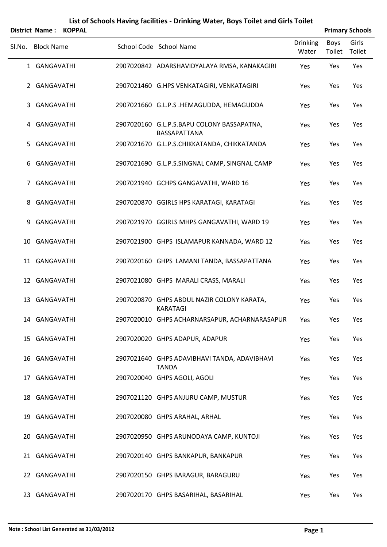|                       | List of Schools Having facilities - Drinking Water, Boys Toilet and Girls Toilet |                        |
|-----------------------|----------------------------------------------------------------------------------|------------------------|
| District Name: KOPPAL |                                                                                  | <b>Primary Schools</b> |

| Sl.No. | <b>Block Name</b> | School Code School Name                                      | <b>Drinking</b><br>Water | Boys<br>Toilet | Girls<br>Toilet |
|--------|-------------------|--------------------------------------------------------------|--------------------------|----------------|-----------------|
|        | 1 GANGAVATHI      | 2907020842 ADARSHAVIDYALAYA RMSA, KANAKAGIRI                 | Yes                      | Yes            | Yes             |
|        | 2 GANGAVATHI      | 2907021460 G.HPS VENKATAGIRI, VENKATAGIRI                    | Yes                      | Yes            | Yes             |
|        | 3 GANGAVATHI      | 2907021660 G.L.P.S.HEMAGUDDA, HEMAGUDDA                      | Yes                      | Yes            | Yes             |
|        | 4 GANGAVATHI      | 2907020160 G.L.P.S.BAPU COLONY BASSAPATNA,<br>BASSAPATTANA   | Yes                      | Yes            | Yes             |
|        | 5 GANGAVATHI      | 2907021670 G.L.P.S.CHIKKATANDA, CHIKKATANDA                  | Yes                      | Yes            | Yes             |
|        | 6 GANGAVATHI      | 2907021690 G.L.P.S.SINGNAL CAMP, SINGNAL CAMP                | Yes                      | Yes            | Yes             |
|        | 7 GANGAVATHI      | 2907021940 GCHPS GANGAVATHI, WARD 16                         | Yes                      | Yes            | Yes             |
|        | 8 GANGAVATHI      | 2907020870 GGIRLS HPS KARATAGI, KARATAGI                     | Yes                      | Yes            | Yes             |
|        | 9 GANGAVATHI      | 2907021970 GGIRLS MHPS GANGAVATHI, WARD 19                   | Yes                      | Yes            | Yes             |
|        | 10 GANGAVATHI     | 2907021900 GHPS ISLAMAPUR KANNADA, WARD 12                   | Yes                      | Yes            | Yes             |
|        | 11 GANGAVATHI     | 2907020160 GHPS LAMANI TANDA, BASSAPATTANA                   | Yes                      | Yes            | Yes             |
|        | 12 GANGAVATHI     | 2907021080 GHPS MARALI CRASS, MARALI                         | Yes                      | Yes            | Yes             |
|        | 13 GANGAVATHI     | 2907020870 GHPS ABDUL NAZIR COLONY KARATA,<br>KARATAGI       | Yes                      | Yes            | Yes             |
|        | 14 GANGAVATHI     | 2907020010 GHPS ACHARNARSAPUR, ACHARNARASAPUR                | Yes                      | Yes            | Yes             |
|        | 15 GANGAVATHI     | 2907020020 GHPS ADAPUR, ADAPUR                               | Yes                      | Yes            | Yes             |
|        | 16 GANGAVATHI     | 2907021640 GHPS ADAVIBHAVI TANDA, ADAVIBHAVI<br><b>TANDA</b> | Yes                      | Yes            | Yes             |
|        | 17 GANGAVATHI     | 2907020040 GHPS AGOLI, AGOLI                                 | Yes                      | Yes            | Yes             |
|        | 18 GANGAVATHI     | 2907021120 GHPS ANJURU CAMP, MUSTUR                          | Yes                      | Yes            | Yes             |
|        | 19 GANGAVATHI     | 2907020080 GHPS ARAHAL, ARHAL                                | Yes                      | Yes            | Yes             |
| 20     | GANGAVATHI        | 2907020950 GHPS ARUNODAYA CAMP, KUNTOJI                      | Yes                      | Yes            | Yes             |
|        | 21 GANGAVATHI     | 2907020140 GHPS BANKAPUR, BANKAPUR                           | Yes                      | Yes            | Yes             |
|        | 22 GANGAVATHI     | 2907020150 GHPS BARAGUR, BARAGURU                            | Yes                      | Yes            | Yes             |
|        | 23 GANGAVATHI     | 2907020170 GHPS BASARIHAL, BASARIHAL                         | Yes                      | Yes            | Yes             |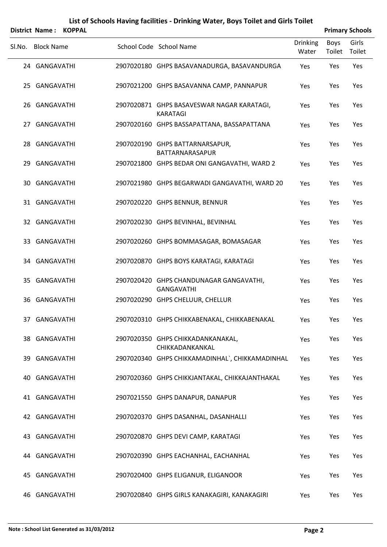|        | <b>District Name:</b> | <b>KOPPAL</b> |                                                               |                          |                | <b>Primary Schools</b> |
|--------|-----------------------|---------------|---------------------------------------------------------------|--------------------------|----------------|------------------------|
| SI.No. | <b>Block Name</b>     |               | School Code School Name                                       | <b>Drinking</b><br>Water | Boys<br>Toilet | Girls<br>Toilet        |
|        | 24 GANGAVATHI         |               | 2907020180 GHPS BASAVANADURGA, BASAVANDURGA                   | Yes                      | Yes            | Yes                    |
|        | 25 GANGAVATHI         |               | 2907021200 GHPS BASAVANNA CAMP, PANNAPUR                      | Yes                      | Yes            | Yes                    |
|        | 26 GANGAVATHI         |               | 2907020871 GHPS BASAVESWAR NAGAR KARATAGI,<br><b>KARATAGI</b> | Yes                      | Yes            | Yes                    |
|        | 27 GANGAVATHI         |               | 2907020160 GHPS BASSAPATTANA, BASSAPATTANA                    | Yes                      | Yes            | Yes                    |
|        | 28 GANGAVATHI         |               | 2907020190 GHPS BATTARNARSAPUR,<br>BATTARNARASAPUR            | Yes                      | Yes            | Yes                    |
| 29     | GANGAVATHI            |               | 2907021800 GHPS BEDAR ONI GANGAVATHI, WARD 2                  | Yes                      | Yes            | Yes                    |
|        | 30 GANGAVATHI         |               | 2907021980 GHPS BEGARWADI GANGAVATHI, WARD 20                 | Yes                      | Yes            | Yes                    |
|        | 31 GANGAVATHI         |               | 2907020220 GHPS BENNUR, BENNUR                                | Yes                      | Yes            | Yes                    |
|        | 32 GANGAVATHI         |               | 2907020230 GHPS BEVINHAL, BEVINHAL                            | Yes                      | Yes            | Yes                    |
|        | 33 GANGAVATHI         |               | 2907020260 GHPS BOMMASAGAR, BOMASAGAR                         | Yes                      | Yes            | Yes                    |
|        | 34 GANGAVATHI         |               | 2907020870 GHPS BOYS KARATAGI, KARATAGI                       | Yes                      | Yes            | Yes                    |
|        | 35 GANGAVATHI         |               | 2907020420 GHPS CHANDUNAGAR GANGAVATHI,<br><b>GANGAVATHI</b>  | Yes                      | Yes            | Yes                    |
|        | 36 GANGAVATHI         |               | 2907020290 GHPS CHELUUR, CHELLUR                              | Yes                      | Yes            | Yes                    |
|        | 37 GANGAVATHI         |               | 2907020310 GHPS CHIKKABENAKAL, CHIKKABENAKAL                  | Yes                      | Yes            | Yes                    |
|        | 38 GANGAVATHI         |               | 2907020350 GHPS CHIKKADANKANAKAL,<br>CHIKKADANKANKAL          | Yes                      | Yes            | Yes                    |
|        | 39 GANGAVATHI         |               | 2907020340 GHPS CHIKKAMADINHAL`, CHIKKAMADINHAL               | Yes                      | Yes            | Yes                    |
| 40     | GANGAVATHI            |               | 2907020360 GHPS CHIKKJANTAKAL, CHIKKAJANTHAKAL                | Yes                      | Yes            | Yes                    |
|        | 41 GANGAVATHI         |               | 2907021550 GHPS DANAPUR, DANAPUR                              | Yes                      | Yes            | Yes                    |
|        | 42 GANGAVATHI         |               | 2907020370 GHPS DASANHAL, DASANHALLI                          | Yes                      | Yes            | Yes                    |
|        | 43 GANGAVATHI         |               | 2907020870 GHPS DEVI CAMP, KARATAGI                           | Yes                      | Yes            | Yes                    |
|        | 44 GANGAVATHI         |               | 2907020390 GHPS EACHANHAL, EACHANHAL                          | Yes                      | Yes            | Yes                    |
|        | 45 GANGAVATHI         |               | 2907020400 GHPS ELIGANUR, ELIGANOOR                           | Yes                      | Yes            | Yes                    |
|        | 46 GANGAVATHI         |               | 2907020840 GHPS GIRLS KANAKAGIRI, KANAKAGIRI                  | Yes                      | Yes            | Yes                    |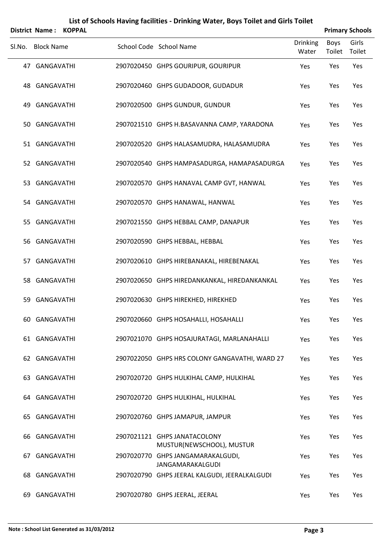|        | District Name: KOPPAL |  |                                                              |                          |                       | <b>Primary Schools</b> |
|--------|-----------------------|--|--------------------------------------------------------------|--------------------------|-----------------------|------------------------|
| SI.No. | <b>Block Name</b>     |  | School Code School Name                                      | <b>Drinking</b><br>Water | <b>Boys</b><br>Toilet | Girls<br>Toilet        |
|        | 47 GANGAVATHI         |  | 2907020450 GHPS GOURIPUR, GOURIPUR                           | Yes                      | Yes                   | Yes                    |
|        | 48 GANGAVATHI         |  | 2907020460 GHPS GUDADOOR, GUDADUR                            | Yes                      | Yes                   | Yes                    |
| 49     | GANGAVATHI            |  | 2907020500 GHPS GUNDUR, GUNDUR                               | Yes                      | Yes                   | Yes                    |
|        | 50 GANGAVATHI         |  | 2907021510 GHPS H.BASAVANNA CAMP, YARADONA                   | Yes                      | Yes                   | Yes                    |
|        | 51 GANGAVATHI         |  | 2907020520 GHPS HALASAMUDRA, HALASAMUDRA                     | Yes                      | Yes                   | Yes                    |
|        | 52 GANGAVATHI         |  | 2907020540 GHPS HAMPASADURGA, HAMAPASADURGA                  | Yes                      | Yes                   | Yes                    |
|        | 53 GANGAVATHI         |  | 2907020570 GHPS HANAVAL CAMP GVT, HANWAL                     | Yes                      | Yes                   | Yes                    |
|        | 54 GANGAVATHI         |  | 2907020570 GHPS HANAWAL, HANWAL                              | Yes                      | Yes                   | Yes                    |
|        | 55 GANGAVATHI         |  | 2907021550 GHPS HEBBAL CAMP, DANAPUR                         | Yes                      | Yes                   | Yes                    |
|        | 56 GANGAVATHI         |  | 2907020590 GHPS HEBBAL, HEBBAL                               | Yes                      | Yes                   | Yes                    |
| 57     | GANGAVATHI            |  | 2907020610 GHPS HIREBANAKAL, HIREBENAKAL                     | Yes                      | Yes                   | Yes                    |
|        | 58 GANGAVATHI         |  | 2907020650 GHPS HIREDANKANKAL, HIREDANKANKAL                 | Yes                      | Yes                   | Yes                    |
| 59     | GANGAVATHI            |  | 2907020630 GHPS HIREKHED, HIREKHED                           | Yes                      | Yes                   | Yes                    |
|        | 60 GANGAVATHI         |  | 2907020660 GHPS HOSAHALLI, HOSAHALLI                         | Yes                      | Yes                   | Yes                    |
|        | 61 GANGAVATHI         |  | 2907021070 GHPS HOSAJURATAGI, MARLANAHALLI                   | Yes                      | Yes                   | Yes                    |
|        | 62 GANGAVATHI         |  | 2907022050 GHPS HRS COLONY GANGAVATHI, WARD 27               | Yes                      | Yes                   | Yes                    |
|        | 63 GANGAVATHI         |  | 2907020720 GHPS HULKIHAL CAMP, HULKIHAL                      | Yes                      | Yes                   | Yes                    |
|        | 64 GANGAVATHI         |  | 2907020720 GHPS HULKIHAL, HULKIHAL                           | Yes                      | Yes                   | Yes                    |
|        | 65 GANGAVATHI         |  | 2907020760 GHPS JAMAPUR, JAMPUR                              | Yes                      | Yes                   | Yes                    |
|        | 66 GANGAVATHI         |  | 2907021121 GHPS JANATACOLONY<br>MUSTUR(NEWSCHOOL), MUSTUR    | Yes                      | Yes                   | Yes                    |
| 67     | GANGAVATHI            |  | 2907020770 GHPS JANGAMARAKALGUDI,<br><b>JANGAMARAKALGUDI</b> | Yes                      | Yes                   | Yes                    |
|        | 68 GANGAVATHI         |  | 2907020790 GHPS JEERAL KALGUDI, JEERALKALGUDI                | Yes                      | Yes                   | Yes                    |
| 69.    | GANGAVATHI            |  | 2907020780 GHPS JEERAL, JEERAL                               | Yes                      | Yes                   | Yes                    |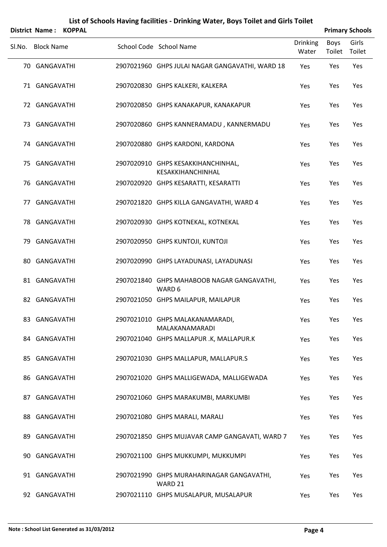|        |                   | District Name: KOPPAL |                                                         |                          |                | <b>Primary Schools</b> |
|--------|-------------------|-----------------------|---------------------------------------------------------|--------------------------|----------------|------------------------|
| SI.No. | <b>Block Name</b> |                       | School Code School Name                                 | <b>Drinking</b><br>Water | Boys<br>Toilet | Girls<br>Toilet        |
|        | 70 GANGAVATHI     |                       | 2907021960 GHPS JULAI NAGAR GANGAVATHI, WARD 18         | Yes                      | Yes            | Yes                    |
|        | 71 GANGAVATHI     |                       | 2907020830 GHPS KALKERI, KALKERA                        | Yes                      | Yes            | Yes                    |
|        | 72 GANGAVATHI     |                       | 2907020850 GHPS KANAKAPUR, KANAKAPUR                    | Yes                      | Yes            | Yes                    |
|        | 73 GANGAVATHI     |                       | 2907020860 GHPS KANNERAMADU, KANNERMADU                 | Yes                      | Yes            | Yes                    |
|        | 74 GANGAVATHI     |                       | 2907020880 GHPS KARDONI, KARDONA                        | Yes                      | Yes            | Yes                    |
|        | 75 GANGAVATHI     |                       | 2907020910 GHPS KESAKKIHANCHINHAL,<br>KESAKKIHANCHINHAL | Yes                      | Yes            | Yes                    |
|        | 76 GANGAVATHI     |                       | 2907020920 GHPS KESARATTI, KESARATTI                    | Yes                      | Yes            | Yes                    |
|        | 77 GANGAVATHI     |                       | 2907021820 GHPS KILLA GANGAVATHI, WARD 4                | Yes                      | Yes            | Yes                    |
|        | 78 GANGAVATHI     |                       | 2907020930 GHPS KOTNEKAL, KOTNEKAL                      | Yes                      | Yes            | Yes                    |
|        | 79 GANGAVATHI     |                       | 2907020950 GHPS KUNTOJI, KUNTOJI                        | Yes                      | Yes            | Yes                    |
|        | 80 GANGAVATHI     |                       | 2907020990 GHPS LAYADUNASI, LAYADUNASI                  | Yes                      | Yes            | Yes                    |
|        | 81 GANGAVATHI     |                       | 2907021840 GHPS MAHABOOB NAGAR GANGAVATHI,<br>WARD 6    | Yes                      | Yes            | Yes                    |
|        | 82 GANGAVATHI     |                       | 2907021050 GHPS MAILAPUR, MAILAPUR                      | Yes                      | Yes            | Yes                    |
|        | 83 GANGAVATHI     |                       | 2907021010 GHPS MALAKANAMARADI,<br>MALAKANAMARADI       | Yes                      | Yes            | Yes                    |
|        | 84 GANGAVATHI     |                       | 2907021040 GHPS MALLAPUR .K, MALLAPUR.K                 | Yes                      | Yes            | Yes                    |
|        | 85 GANGAVATHI     |                       | 2907021030 GHPS MALLAPUR, MALLAPUR.S                    | Yes                      | Yes            | Yes                    |
|        | 86 GANGAVATHI     |                       | 2907021020 GHPS MALLIGEWADA, MALLIGEWADA                | Yes                      | Yes            | Yes                    |
|        | 87 GANGAVATHI     |                       | 2907021060 GHPS MARAKUMBI, MARKUMBI                     | Yes                      | Yes            | Yes                    |
|        | 88 GANGAVATHI     |                       | 2907021080 GHPS MARALI, MARALI                          | Yes                      | Yes            | Yes                    |
|        | 89 GANGAVATHI     |                       | 2907021850 GHPS MUJAVAR CAMP GANGAVATI, WARD 7          | Yes                      | Yes            | Yes                    |
|        | 90 GANGAVATHI     |                       | 2907021100 GHPS MUKKUMPI, MUKKUMPI                      | Yes                      | Yes            | Yes                    |
|        | 91 GANGAVATHI     |                       | 2907021990 GHPS MURAHARINAGAR GANGAVATHI,<br>WARD 21    | Yes                      | Yes            | Yes                    |
|        | 92 GANGAVATHI     |                       | 2907021110 GHPS MUSALAPUR, MUSALAPUR                    | Yes                      | Yes            | Yes                    |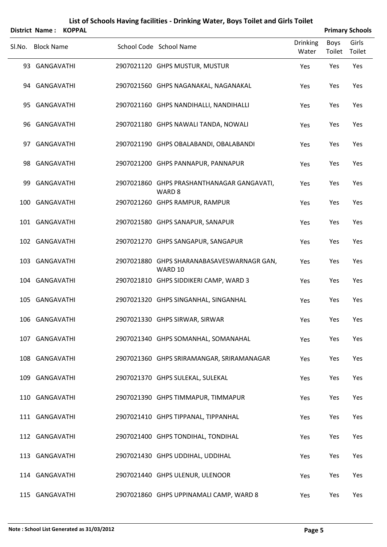|        | District Name: KOPPAL |  |                                                                 |                          | <b>Primary Schools</b> |                 |
|--------|-----------------------|--|-----------------------------------------------------------------|--------------------------|------------------------|-----------------|
| Sl.No. | <b>Block Name</b>     |  | School Code School Name                                         | <b>Drinking</b><br>Water | Boys<br>Toilet         | Girls<br>Toilet |
|        | 93 GANGAVATHI         |  | 2907021120 GHPS MUSTUR, MUSTUR                                  | Yes                      | Yes                    | Yes             |
|        | 94 GANGAVATHI         |  | 2907021560 GHPS NAGANAKAL, NAGANAKAL                            | Yes                      | Yes                    | Yes             |
|        | 95 GANGAVATHI         |  | 2907021160 GHPS NANDIHALLI, NANDIHALLI                          | Yes                      | Yes                    | Yes             |
|        | 96 GANGAVATHI         |  | 2907021180 GHPS NAWALI TANDA, NOWALI                            | Yes                      | Yes                    | Yes             |
|        | 97 GANGAVATHI         |  | 2907021190 GHPS OBALABANDI, OBALABANDI                          | Yes                      | Yes                    | Yes             |
|        | 98 GANGAVATHI         |  | 2907021200 GHPS PANNAPUR, PANNAPUR                              | Yes                      | Yes                    | Yes             |
|        | 99 GANGAVATHI         |  | 2907021860 GHPS PRASHANTHANAGAR GANGAVATI,<br>WARD <sub>8</sub> | Yes                      | Yes                    | Yes             |
|        | 100 GANGAVATHI        |  | 2907021260 GHPS RAMPUR, RAMPUR                                  | Yes                      | Yes                    | Yes             |
|        | 101 GANGAVATHI        |  | 2907021580 GHPS SANAPUR, SANAPUR                                | Yes                      | Yes                    | Yes             |
|        | 102 GANGAVATHI        |  | 2907021270 GHPS SANGAPUR, SANGAPUR                              | Yes                      | Yes                    | Yes             |
|        | 103 GANGAVATHI        |  | 2907021880 GHPS SHARANABASAVESWARNAGR GAN,<br>WARD 10           | Yes                      | Yes                    | Yes             |
|        | 104 GANGAVATHI        |  | 2907021810 GHPS SIDDIKERI CAMP, WARD 3                          | Yes                      | Yes                    | Yes             |
|        | 105 GANGAVATHI        |  | 2907021320 GHPS SINGANHAL, SINGANHAL                            | Yes                      | Yes                    | Yes             |
|        | 106 GANGAVATHI        |  | 2907021330 GHPS SIRWAR, SIRWAR                                  | Yes                      | Yes                    | Yes             |
|        | 107 GANGAVATHI        |  | 2907021340 GHPS SOMANHAL, SOMANAHAL                             | Yes                      | Yes                    | Yes             |
|        | 108 GANGAVATHI        |  | 2907021360 GHPS SRIRAMANGAR, SRIRAMANAGAR                       | Yes                      | Yes                    | Yes             |
|        | 109 GANGAVATHI        |  | 2907021370 GHPS SULEKAL, SULEKAL                                | Yes                      | Yes                    | Yes             |
|        | 110 GANGAVATHI        |  | 2907021390 GHPS TIMMAPUR, TIMMAPUR                              | Yes                      | Yes                    | Yes             |
|        | 111 GANGAVATHI        |  | 2907021410 GHPS TIPPANAL, TIPPANHAL                             | Yes                      | Yes                    | Yes             |
|        | 112 GANGAVATHI        |  | 2907021400 GHPS TONDIHAL, TONDIHAL                              | Yes                      | Yes                    | Yes             |
|        | 113 GANGAVATHI        |  | 2907021430 GHPS UDDIHAL, UDDIHAL                                | Yes                      | Yes                    | Yes             |
|        | 114 GANGAVATHI        |  | 2907021440 GHPS ULENUR, ULENOOR                                 | Yes                      | Yes                    | Yes             |
|        | 115 GANGAVATHI        |  | 2907021860 GHPS UPPINAMALI CAMP, WARD 8                         | Yes                      | Yes                    | Yes             |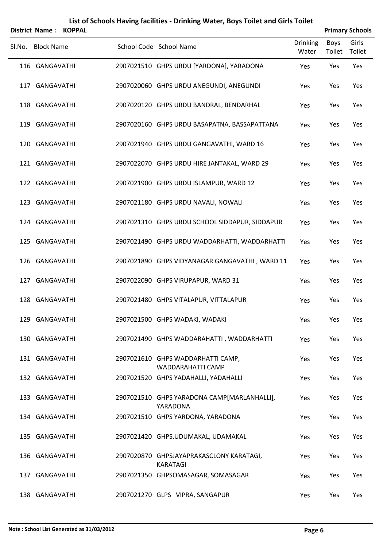|        | District Name: KOPPAL |  |                                                               |                          |                | <b>Primary Schools</b> |
|--------|-----------------------|--|---------------------------------------------------------------|--------------------------|----------------|------------------------|
| Sl.No. | <b>Block Name</b>     |  | School Code School Name                                       | <b>Drinking</b><br>Water | Boys<br>Toilet | Girls<br>Toilet        |
|        | 116 GANGAVATHI        |  | 2907021510 GHPS URDU [YARDONA], YARADONA                      | Yes                      | Yes            | Yes                    |
|        | 117 GANGAVATHI        |  | 2907020060 GHPS URDU ANEGUNDI, ANEGUNDI                       | Yes                      | Yes            | Yes                    |
|        | 118 GANGAVATHI        |  | 2907020120 GHPS URDU BANDRAL, BENDARHAL                       | Yes                      | Yes            | Yes                    |
|        | 119 GANGAVATHI        |  | 2907020160 GHPS URDU BASAPATNA, BASSAPATTANA                  | Yes                      | Yes            | Yes                    |
|        | 120 GANGAVATHI        |  | 2907021940 GHPS URDU GANGAVATHI, WARD 16                      | Yes                      | Yes            | Yes                    |
|        | 121 GANGAVATHI        |  | 2907022070 GHPS URDU HIRE JANTAKAL, WARD 29                   | Yes                      | Yes            | Yes                    |
|        | 122 GANGAVATHI        |  | 2907021900 GHPS URDU ISLAMPUR, WARD 12                        | Yes                      | Yes            | Yes                    |
|        | 123 GANGAVATHI        |  | 2907021180 GHPS URDU NAVALI, NOWALI                           | Yes                      | Yes            | Yes                    |
|        | 124 GANGAVATHI        |  | 2907021310 GHPS URDU SCHOOL SIDDAPUR, SIDDAPUR                | Yes                      | Yes            | Yes                    |
|        | 125 GANGAVATHI        |  | 2907021490 GHPS URDU WADDARHATTI, WADDARHATTI                 | Yes                      | Yes            | Yes                    |
|        | 126 GANGAVATHI        |  | 2907021890 GHPS VIDYANAGAR GANGAVATHI, WARD 11                | Yes                      | Yes            | Yes                    |
|        | 127 GANGAVATHI        |  | 2907022090 GHPS VIRUPAPUR, WARD 31                            | Yes                      | Yes            | Yes                    |
|        | 128 GANGAVATHI        |  | 2907021480 GHPS VITALAPUR, VITTALAPUR                         | Yes                      | Yes            | Yes                    |
|        | 129 GANGAVATHI        |  | 2907021500 GHPS WADAKI, WADAKI                                | Yes                      | Yes            | Yes                    |
|        | 130 GANGAVATHI        |  | 2907021490 GHPS WADDARAHATTI, WADDARHATTI                     | Yes                      | Yes            | Yes                    |
|        | 131 GANGAVATHI        |  | 2907021610 GHPS WADDARHATTI CAMP,<br><b>WADDARAHATTI CAMP</b> | Yes                      | Yes            | Yes                    |
|        | 132 GANGAVATHI        |  | 2907021520 GHPS YADAHALLI, YADAHALLI                          | Yes                      | Yes            | Yes                    |
|        | 133 GANGAVATHI        |  | 2907021510 GHPS YARADONA CAMP[MARLANHALLI],<br>YARADONA       | Yes                      | Yes            | Yes                    |
|        | 134 GANGAVATHI        |  | 2907021510 GHPS YARDONA, YARADONA                             | Yes                      | Yes            | Yes                    |
|        | 135 GANGAVATHI        |  | 2907021420 GHPS.UDUMAKAL, UDAMAKAL                            | Yes                      | Yes            | Yes                    |
|        | 136 GANGAVATHI        |  | 2907020870 GHPSJAYAPRAKASCLONY KARATAGI,<br><b>KARATAGI</b>   | Yes                      | Yes            | Yes                    |
|        | 137 GANGAVATHI        |  | 2907021350 GHPSOMASAGAR, SOMASAGAR                            | Yes                      | Yes            | Yes                    |
|        |                       |  |                                                               |                          |                |                        |

GANGAVATHI 2907021270 GLPS VIPRA, SANGAPUR Yes Yes Yes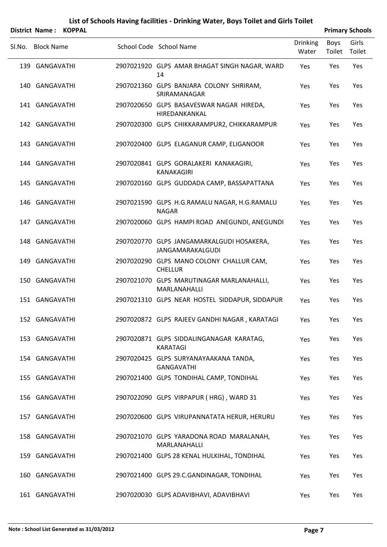| <b>District Name:</b> | <b>KOPPAL</b> |                                                                      |                          |                | <b>Primary Schools</b> |
|-----------------------|---------------|----------------------------------------------------------------------|--------------------------|----------------|------------------------|
| Sl.No. Block Name     |               | School Code School Name                                              | <b>Drinking</b><br>Water | Boys<br>Toilet | Girls<br>Toilet        |
| 139 GANGAVATHI        |               | 2907021920 GLPS AMAR BHAGAT SINGH NAGAR, WARD<br>14                  | Yes                      | Yes            | Yes                    |
| 140 GANGAVATHI        |               | 2907021360 GLPS BANJARA COLONY SHRIRAM,<br>SRIRAMANAGAR              | Yes                      | Yes            | Yes                    |
| 141 GANGAVATHI        |               | 2907020650 GLPS BASAVESWAR NAGAR HIREDA,<br>HIREDANKANKAL            | Yes                      | Yes            | Yes                    |
| 142 GANGAVATHI        |               | 2907020300 GLPS CHIKKARAMPUR2, CHIKKARAMPUR                          | Yes                      | Yes            | Yes                    |
| 143 GANGAVATHI        |               | 2907020400 GLPS ELAGANUR CAMP, ELIGANOOR                             | Yes                      | Yes            | Yes                    |
| 144 GANGAVATHI        |               | 2907020841 GLPS GORALAKERI KANAKAGIRI,<br><b>KANAKAGIRI</b>          | Yes                      | Yes            | Yes                    |
| 145 GANGAVATHI        |               | 2907020160 GLPS GUDDADA CAMP, BASSAPATTANA                           | Yes                      | Yes            | Yes                    |
| 146 GANGAVATHI        |               | 2907021590 GLPS H.G.RAMALU NAGAR, H.G.RAMALU<br><b>NAGAR</b>         | Yes                      | Yes            | Yes                    |
| 147 GANGAVATHI        |               | 2907020060 GLPS HAMPI ROAD ANEGUNDI, ANEGUNDI                        | Yes                      | Yes            | Yes                    |
| 148 GANGAVATHI        |               | 2907020770 GLPS JANGAMARKALGUDI HOSAKERA,<br><b>JANGAMARAKALGUDI</b> | Yes                      | Yes            | Yes                    |
| 149 GANGAVATHI        |               | 2907020290 GLPS MANO COLONY CHALLUR CAM,<br><b>CHELLUR</b>           | Yes                      | Yes            | Yes                    |
| 150 GANGAVATHI        |               | 2907021070 GLPS MARUTINAGAR MARLANAHALLI,<br>MARLANAHALLI            | Yes                      | Yes            | Yes                    |
| 151 GANGAVATHI        |               | 2907021310 GLPS NEAR HOSTEL SIDDAPUR, SIDDAPUR                       | Yes                      | Yes            | Yes                    |
| 152 GANGAVATHI        |               | 2907020872 GLPS RAJEEV GANDHI NAGAR, KARATAGI                        | Yes                      | Yes            | Yes                    |
| 153 GANGAVATHI        |               | 2907020871 GLPS SIDDALINGANAGAR KARATAG,<br><b>KARATAGI</b>          | Yes                      | Yes            | Yes                    |
| 154 GANGAVATHI        |               | 2907020425 GLPS SURYANAYAAKANA TANDA,<br><b>GANGAVATHI</b>           | Yes                      | Yes            | Yes                    |
| 155 GANGAVATHI        |               | 2907021400 GLPS TONDIHAL CAMP, TONDIHAL                              | Yes                      | Yes            | Yes                    |
| 156 GANGAVATHI        |               | 2907022090 GLPS VIRPAPUR (HRG), WARD 31                              | Yes                      | Yes            | Yes                    |
| 157 GANGAVATHI        |               | 2907020600 GLPS VIRUPANNATATA HERUR, HERURU                          | Yes                      | Yes            | Yes                    |
| 158 GANGAVATHI        |               | 2907021070 GLPS YARADONA ROAD MARALANAH,<br>MARLANAHALLI             | Yes                      | Yes            | Yes                    |
| 159 GANGAVATHI        |               | 2907021400 GLPS 28 KENAL HULKIHAL, TONDIHAL                          | Yes                      | Yes            | Yes                    |
| 160 GANGAVATHI        |               | 2907021400 GLPS 29.C.GANDINAGAR, TONDIHAL                            | Yes                      | Yes            | Yes                    |
| 161 GANGAVATHI        |               | 2907020030 GLPS ADAVIBHAVI, ADAVIBHAVI                               | Yes                      | Yes            | Yes                    |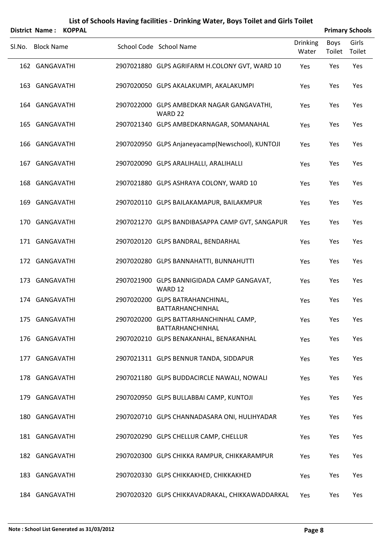|        | District Name: KOPPAL |  |                                                                   |                          |                | <b>Primary Schools</b> |
|--------|-----------------------|--|-------------------------------------------------------------------|--------------------------|----------------|------------------------|
| Sl.No. | <b>Block Name</b>     |  | School Code School Name                                           | <b>Drinking</b><br>Water | Boys<br>Toilet | Girls<br>Toilet        |
|        | 162 GANGAVATHI        |  | 2907021880 GLPS AGRIFARM H.COLONY GVT, WARD 10                    | Yes                      | Yes            | Yes                    |
| 163    | GANGAVATHI            |  | 2907020050 GLPS AKALAKUMPI, AKALAKUMPI                            | Yes                      | Yes            | Yes                    |
|        | 164 GANGAVATHI        |  | 2907022000 GLPS AMBEDKAR NAGAR GANGAVATHI,<br>WARD 22             | Yes                      | Yes            | Yes                    |
|        | 165 GANGAVATHI        |  | 2907021340 GLPS AMBEDKARNAGAR, SOMANAHAL                          | Yes                      | Yes            | Yes                    |
|        | 166 GANGAVATHI        |  | 2907020950 GLPS Anjaneyacamp(Newschool), KUNTOJI                  | Yes                      | Yes            | Yes                    |
|        | 167 GANGAVATHI        |  | 2907020090 GLPS ARALIHALLI, ARALIHALLI                            | Yes                      | Yes            | Yes                    |
|        | 168 GANGAVATHI        |  | 2907021880 GLPS ASHRAYA COLONY, WARD 10                           | Yes                      | Yes            | Yes                    |
|        | 169 GANGAVATHI        |  | 2907020110 GLPS BAILAKAMAPUR, BAILAKMPUR                          | Yes                      | Yes            | Yes                    |
|        | 170 GANGAVATHI        |  | 2907021270 GLPS BANDIBASAPPA CAMP GVT, SANGAPUR                   | Yes                      | Yes            | Yes                    |
|        | 171 GANGAVATHI        |  | 2907020120 GLPS BANDRAL, BENDARHAL                                | Yes                      | Yes            | Yes                    |
|        | 172 GANGAVATHI        |  | 2907020280 GLPS BANNAHATTI, BUNNAHUTTI                            | Yes                      | Yes            | Yes                    |
|        | 173 GANGAVATHI        |  | 2907021900 GLPS BANNIGIDADA CAMP GANGAVAT,<br>WARD 12             | Yes                      | Yes            | Yes                    |
|        | 174 GANGAVATHI        |  | 2907020200 GLPS BATRAHANCHINAL,<br>BATTARHANCHINHAL               | Yes                      | Yes            | Yes                    |
|        | 175 GANGAVATHI        |  | 2907020200 GLPS BATTARHANCHINHAL CAMP,<br><b>BATTARHANCHINHAL</b> | Yes                      | Yes            | Yes                    |
|        | 176 GANGAVATHI        |  | 2907020210 GLPS BENAKANHAL, BENAKANHAL                            | Yes                      | Yes            | Yes                    |
|        | 177 GANGAVATHI        |  | 2907021311 GLPS BENNUR TANDA, SIDDAPUR                            | Yes                      | Yes            | Yes                    |
|        | 178 GANGAVATHI        |  | 2907021180 GLPS BUDDACIRCLE NAWALI, NOWALI                        | Yes                      | Yes            | Yes                    |
|        | 179 GANGAVATHI        |  | 2907020950 GLPS BULLABBAI CAMP, KUNTOJI                           | Yes                      | Yes            | Yes                    |
|        | 180 GANGAVATHI        |  | 2907020710 GLPS CHANNADASARA ONI, HULIHYADAR                      | Yes                      | Yes            | Yes                    |
|        | 181 GANGAVATHI        |  | 2907020290 GLPS CHELLUR CAMP, CHELLUR                             | Yes                      | Yes            | Yes                    |
|        | 182 GANGAVATHI        |  | 2907020300 GLPS CHIKKA RAMPUR, CHIKKARAMPUR                       | Yes                      | Yes            | Yes                    |
|        | 183 GANGAVATHI        |  | 2907020330 GLPS CHIKKAKHED, CHIKKAKHED                            | Yes                      | Yes            | Yes                    |
|        | 184 GANGAVATHI        |  | 2907020320 GLPS CHIKKAVADRAKAL, CHIKKAWADDARKAL                   | Yes                      | Yes            | Yes                    |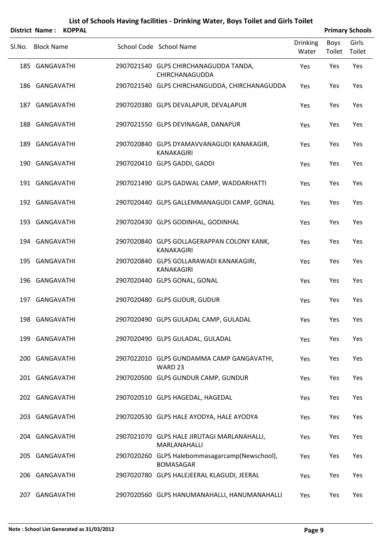#### **List of Schools Having facilities ‐ Drinking Water, Boys Toilet and Girls Toilet District Name : KOPPAL Primary Schools**

| . סוווסטו ואסוווכ |  |                                                                    |                          |                | <b>Fillingiy JUNUUIS</b> |
|-------------------|--|--------------------------------------------------------------------|--------------------------|----------------|--------------------------|
| Sl.No. Block Name |  | School Code School Name                                            | <b>Drinking</b><br>Water | Boys<br>Toilet | Girls<br>Toilet          |
| 185 GANGAVATHI    |  | 2907021540 GLPS CHIRCHANAGUDDA TANDA,<br>CHIRCHANAGUDDA            | Yes                      | Yes            | Yes                      |
| 186 GANGAVATHI    |  | 2907021540 GLPS CHIRCHANGUDDA, CHIRCHANAGUDDA                      | Yes                      | Yes            | Yes                      |
| 187 GANGAVATHI    |  | 2907020380 GLPS DEVALAPUR, DEVALAPUR                               | Yes                      | Yes            | Yes                      |
| 188 GANGAVATHI    |  | 2907021550 GLPS DEVINAGAR, DANAPUR                                 | Yes                      | Yes            | Yes                      |
| 189 GANGAVATHI    |  | 2907020840 GLPS DYAMAVVANAGUDI KANAKAGIR,<br><b>KANAKAGIRI</b>     | Yes                      | Yes            | Yes                      |
| 190 GANGAVATHI    |  | 2907020410 GLPS GADDI, GADDI                                       | Yes                      | Yes            | Yes                      |
| 191 GANGAVATHI    |  | 2907021490 GLPS GADWAL CAMP, WADDARHATTI                           | Yes                      | Yes            | Yes                      |
| 192 GANGAVATHI    |  | 2907020440 GLPS GALLEMMANAGUDI CAMP, GONAL                         | Yes                      | Yes            | Yes                      |
| 193 GANGAVATHI    |  | 2907020430 GLPS GODINHAL, GODINHAL                                 | Yes                      | Yes            | Yes                      |
| 194 GANGAVATHI    |  | 2907020840 GLPS GOLLAGERAPPAN COLONY KANK,<br><b>KANAKAGIRI</b>    | Yes                      | Yes            | Yes                      |
| 195 GANGAVATHI    |  | 2907020840 GLPS GOLLARAWADI KANAKAGIRI,<br>KANAKAGIRI              | Yes                      | Yes            | Yes                      |
| 196 GANGAVATHI    |  | 2907020440 GLPS GONAL, GONAL                                       | Yes                      | Yes            | Yes                      |
| 197 GANGAVATHI    |  | 2907020480 GLPS GUDUR, GUDUR                                       | Yes                      | Yes            | Yes                      |
| 198 GANGAVATHI    |  | 2907020490 GLPS GULADAL CAMP, GULADAL                              | Yes                      | Yes            | Yes                      |
| 199 GANGAVATHI    |  | 2907020490 GLPS GULADAL, GULADAL                                   | <b>Yes</b>               | Yes            | Yes                      |
| 200 GANGAVATHI    |  | 2907022010 GLPS GUNDAMMA CAMP GANGAVATHI,<br>WARD 23               | Yes                      | Yes            | Yes                      |
| 201 GANGAVATHI    |  | 2907020500 GLPS GUNDUR CAMP, GUNDUR                                | Yes                      | Yes            | Yes                      |
| 202 GANGAVATHI    |  | 2907020510 GLPS HAGEDAL, HAGEDAL                                   | Yes                      | Yes            | Yes                      |
| 203 GANGAVATHI    |  | 2907020530 GLPS HALE AYODYA, HALE AYODYA                           | Yes                      | Yes            | Yes                      |
| 204 GANGAVATHI    |  | 2907021070 GLPS HALE JIRUTAGI MARLANAHALLI,<br>MARLANAHALLI        | Yes                      | Yes            | Yes                      |
| 205 GANGAVATHI    |  | 2907020260 GLPS Halebommasagarcamp(Newschool),<br><b>BOMASAGAR</b> | Yes.                     | Yes            | Yes                      |
| 206 GANGAVATHI    |  | 2907020780 GLPS HALEJEERAL KLAGUDI, JEERAL                         | Yes                      | Yes            | Yes                      |
| 207 GANGAVATHI    |  | 2907020560 GLPS HANUMANAHALLI, HANUMANAHALLI                       | Yes                      | Yes            | Yes                      |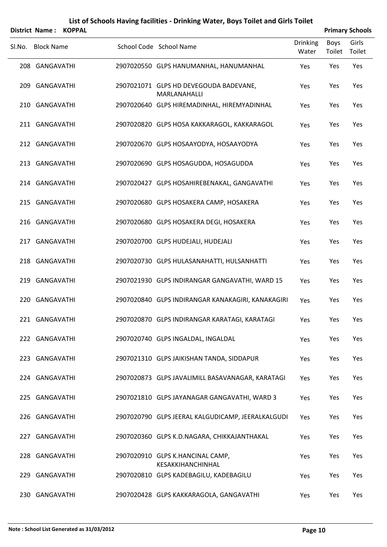| List of Schools Having facilities - Drinking Water, Boys Toilet and Girls Toilet |
|----------------------------------------------------------------------------------|
|                                                                                  |

|        | <b>District Name:</b><br><b>KOPPAL</b> |                                                        |                          |                       | <b>Primary Schools</b> |
|--------|----------------------------------------|--------------------------------------------------------|--------------------------|-----------------------|------------------------|
| SI.No. | <b>Block Name</b>                      | School Code School Name                                | <b>Drinking</b><br>Water | <b>Boys</b><br>Toilet | Girls<br>Toilet        |
|        | 208 GANGAVATHI                         | 2907020550 GLPS HANUMANHAL, HANUMANHAL                 | Yes                      | Yes                   | Yes                    |
|        | 209 GANGAVATHI                         | 2907021071 GLPS HD DEVEGOUDA BADEVANE,<br>MARLANAHALLI | Yes                      | Yes                   | Yes                    |
|        | 210 GANGAVATHI                         | 2907020640 GLPS HIREMADINHAL, HIREMYADINHAL            | Yes                      | Yes                   | Yes                    |
|        | 211 GANGAVATHI                         | 2907020820 GLPS HOSA KAKKARAGOL, KAKKARAGOL            | Yes                      | Yes                   | Yes                    |
|        | 212 GANGAVATHI                         | 2907020670 GLPS HOSAAYODYA, HOSAAYODYA                 | Yes                      | Yes                   | Yes                    |
|        | 213 GANGAVATHI                         | 2907020690 GLPS HOSAGUDDA, HOSAGUDDA                   | Yes                      | Yes                   | Yes                    |
|        | 214 GANGAVATHI                         | 2907020427 GLPS HOSAHIREBENAKAL, GANGAVATHI            | Yes                      | Yes                   | Yes                    |
|        | 215 GANGAVATHI                         | 2907020680 GLPS HOSAKERA CAMP, HOSAKERA                | Yes                      | Yes                   | Yes                    |
|        | 216 GANGAVATHI                         | 2907020680 GLPS HOSAKERA DEGI, HOSAKERA                | Yes                      | Yes                   | Yes                    |
|        | 217 GANGAVATHI                         | 2907020700 GLPS HUDEJALI, HUDEJALI                     | Yes                      | Yes                   | Yes                    |
|        | 218 GANGAVATHI                         | 2907020730 GLPS HULASANAHATTI, HULSANHATTI             | Yes                      | Yes                   | Yes                    |
|        | 219 GANGAVATHI                         | 2907021930 GLPS INDIRANGAR GANGAVATHI, WARD 15         | Yes                      | Yes                   | Yes                    |
|        | 220 GANGAVATHI                         | 2907020840 GLPS INDIRANGAR KANAKAGIRI, KANAKAGIRI      | Yes                      | Yes                   | Yes                    |
|        | 221 GANGAVATHI                         | 2907020870 GLPS INDIRANGAR KARATAGI, KARATAGI          | Yes                      | Yes                   | Yes                    |
|        | 222 GANGAVATHI                         | 2907020740 GLPS INGALDAL, INGALDAL                     | Yes                      | Yes                   | Yes                    |
|        | 223 GANGAVATHI                         | 2907021310 GLPS JAIKISHAN TANDA, SIDDAPUR              | Yes                      | Yes                   | Yes                    |
|        | 224 GANGAVATHI                         | 2907020873 GLPS JAVALIMILL BASAVANAGAR, KARATAGI       | Yes                      | Yes                   | Yes                    |
|        | 225 GANGAVATHI                         | 2907021810 GLPS JAYANAGAR GANGAVATHI, WARD 3           | Yes                      | Yes                   | Yes                    |
|        | 226 GANGAVATHI                         | 2907020790 GLPS JEERAL KALGUDICAMP, JEERALKALGUDI      | Yes                      | Yes                   | Yes                    |
|        | 227 GANGAVATHI                         | 2907020360 GLPS K.D.NAGARA, CHIKKAJANTHAKAL            | Yes                      | Yes                   | Yes                    |
|        | 228 GANGAVATHI                         | 2907020910 GLPS K.HANCINAL CAMP,<br>KESAKKIHANCHINHAL  | Yes                      | Yes                   | Yes                    |
| 229    | GANGAVATHI                             | 2907020810 GLPS KADEBAGILU, KADEBAGILU                 | Yes                      | Yes                   | Yes                    |
|        | 230 GANGAVATHI                         | 2907020428 GLPS KAKKARAGOLA, GANGAVATHI                | Yes                      | Yes                   | Yes                    |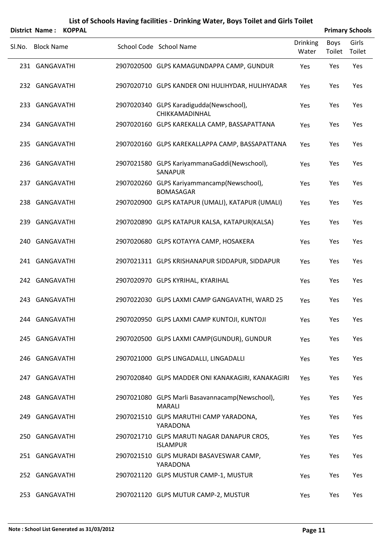|        | <b>District Name:</b> | <b>KOPPAL</b> |                                                                  |                          |                       | <b>Primary Schools</b> |
|--------|-----------------------|---------------|------------------------------------------------------------------|--------------------------|-----------------------|------------------------|
| SI.No. | <b>Block Name</b>     |               | School Code School Name                                          | <b>Drinking</b><br>Water | <b>Boys</b><br>Toilet | Girls<br>Toilet        |
|        | 231 GANGAVATHI        |               | 2907020500 GLPS KAMAGUNDAPPA CAMP, GUNDUR                        | Yes                      | Yes                   | Yes                    |
|        | 232 GANGAVATHI        |               | 2907020710 GLPS KANDER ONI HULIHYDAR, HULIHYADAR                 | Yes                      | Yes                   | Yes                    |
|        | 233 GANGAVATHI        |               | 2907020340 GLPS Karadigudda(Newschool),<br>CHIKKAMADINHAL        | Yes                      | Yes                   | Yes                    |
|        | 234 GANGAVATHI        |               | 2907020160 GLPS KAREKALLA CAMP, BASSAPATTANA                     | Yes                      | Yes                   | Yes                    |
|        | 235 GANGAVATHI        |               | 2907020160 GLPS KAREKALLAPPA CAMP, BASSAPATTANA                  | Yes                      | Yes                   | Yes                    |
|        | 236 GANGAVATHI        |               | 2907021580 GLPS KariyammanaGaddi(Newschool),<br><b>SANAPUR</b>   | Yes                      | Yes                   | Yes                    |
|        | 237 GANGAVATHI        |               | 2907020260 GLPS Kariyammancamp(Newschool),<br><b>BOMASAGAR</b>   | Yes                      | Yes                   | Yes                    |
|        | 238 GANGAVATHI        |               | 2907020900 GLPS KATAPUR (UMALI), KATAPUR (UMALI)                 | Yes                      | Yes                   | Yes                    |
|        | 239 GANGAVATHI        |               | 2907020890 GLPS KATAPUR KALSA, KATAPUR(KALSA)                    | Yes                      | Yes                   | Yes                    |
|        | 240 GANGAVATHI        |               | 2907020680 GLPS KOTAYYA CAMP, HOSAKERA                           | Yes                      | Yes                   | Yes                    |
|        | 241 GANGAVATHI        |               | 2907021311 GLPS KRISHANAPUR SIDDAPUR, SIDDAPUR                   | Yes                      | Yes                   | Yes                    |
|        | 242 GANGAVATHI        |               | 2907020970 GLPS KYRIHAL, KYARIHAL                                | Yes                      | Yes                   | Yes                    |
|        | 243 GANGAVATHI        |               | 2907022030 GLPS LAXMI CAMP GANGAVATHI, WARD 25                   | Yes                      | Yes                   | Yes                    |
|        | 244 GANGAVATHI        |               | 2907020950 GLPS LAXMI CAMP KUNTOJI, KUNTOJI                      | Yes                      | Yes                   | Yes                    |
|        | 245 GANGAVATHI        |               | 2907020500 GLPS LAXMI CAMP(GUNDUR), GUNDUR                       | Yes                      | Yes                   | Yes                    |
|        | 246 GANGAVATHI        |               | 2907021000 GLPS LINGADALLI, LINGADALLI                           | Yes                      | Yes                   | Yes                    |
|        | 247 GANGAVATHI        |               | 2907020840 GLPS MADDER ONI KANAKAGIRI, KANAKAGIRI                | Yes                      | Yes                   | Yes                    |
|        | 248 GANGAVATHI        |               | 2907021080 GLPS Marli Basavannacamp(Newschool),<br><b>MARALI</b> | Yes                      | Yes                   | Yes                    |
|        | 249 GANGAVATHI        |               | 2907021510 GLPS MARUTHI CAMP YARADONA,<br>YARADONA               | Yes                      | Yes                   | Yes                    |
|        | 250 GANGAVATHI        |               | 2907021710 GLPS MARUTI NAGAR DANAPUR CROS,<br><b>ISLAMPUR</b>    | Yes                      | Yes                   | Yes                    |
|        | 251 GANGAVATHI        |               | 2907021510 GLPS MURADI BASAVESWAR CAMP,<br>YARADONA              | Yes                      | Yes                   | Yes                    |
|        | 252 GANGAVATHI        |               | 2907021120 GLPS MUSTUR CAMP-1, MUSTUR                            | Yes                      | Yes                   | Yes                    |
|        | 253 GANGAVATHI        |               | 2907021120 GLPS MUTUR CAMP-2, MUSTUR                             | Yes                      | Yes                   | Yes                    |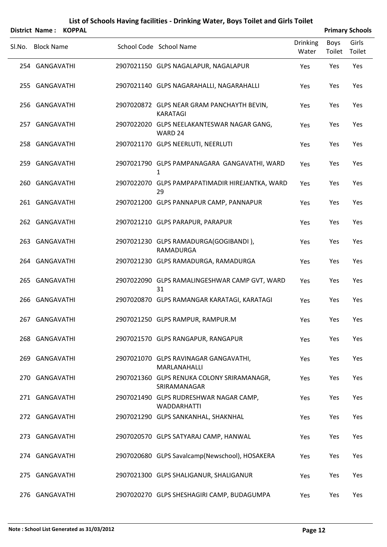|        |                   | District Name: KOPPAL |                                                               |                          |                | <b>Primary Schools</b> |
|--------|-------------------|-----------------------|---------------------------------------------------------------|--------------------------|----------------|------------------------|
| Sl.No. | <b>Block Name</b> |                       | School Code School Name                                       | <b>Drinking</b><br>Water | Boys<br>Toilet | Girls<br>Toilet        |
|        | 254 GANGAVATHI    |                       | 2907021150 GLPS NAGALAPUR, NAGALAPUR                          | Yes                      | Yes            | Yes                    |
|        | 255 GANGAVATHI    |                       | 2907021140 GLPS NAGARAHALLI, NAGARAHALLI                      | Yes                      | Yes            | Yes                    |
|        | 256 GANGAVATHI    |                       | 2907020872 GLPS NEAR GRAM PANCHAYTH BEVIN,<br><b>KARATAGI</b> | Yes                      | Yes            | Yes                    |
|        | 257 GANGAVATHI    |                       | 2907022020 GLPS NEELAKANTESWAR NAGAR GANG,<br>WARD 24         | Yes                      | Yes            | Yes                    |
|        | 258 GANGAVATHI    |                       | 2907021170 GLPS NEERLUTI, NEERLUTI                            | Yes                      | Yes            | Yes                    |
|        | 259 GANGAVATHI    |                       | 2907021790 GLPS PAMPANAGARA GANGAVATHI, WARD<br>1             | Yes                      | Yes            | Yes                    |
|        | 260 GANGAVATHI    |                       | 2907022070 GLPS PAMPAPATIMADIR HIREJANTKA, WARD<br>29         | Yes                      | Yes            | Yes                    |
|        | 261 GANGAVATHI    |                       | 2907021200 GLPS PANNAPUR CAMP, PANNAPUR                       | Yes                      | Yes            | Yes                    |
|        | 262 GANGAVATHI    |                       | 2907021210 GLPS PARAPUR, PARAPUR                              | Yes                      | Yes            | Yes                    |
|        | 263 GANGAVATHI    |                       | 2907021230 GLPS RAMADURGA(GOGIBANDI),<br>RAMADURGA            | Yes                      | Yes            | Yes                    |
|        | 264 GANGAVATHI    |                       | 2907021230 GLPS RAMADURGA, RAMADURGA                          | Yes                      | Yes            | Yes                    |
|        | 265 GANGAVATHI    |                       | 2907022090 GLPS RAMALINGESHWAR CAMP GVT, WARD<br>31           | Yes                      | Yes            | Yes                    |
|        | 266 GANGAVATHI    |                       | 2907020870 GLPS RAMANGAR KARATAGI, KARATAGI                   | Yes                      | Yes            | Yes                    |
|        | 267 GANGAVATHI    |                       | 2907021250 GLPS RAMPUR, RAMPUR.M                              | Yes                      | Yes            | Yes                    |
|        | 268 GANGAVATHI    |                       | 2907021570 GLPS RANGAPUR, RANGAPUR                            | Yes                      | Yes            | Yes                    |
|        | 269 GANGAVATHI    |                       | 2907021070 GLPS RAVINAGAR GANGAVATHI,<br>MARLANAHALLI         | Yes                      | Yes            | Yes                    |
|        | 270 GANGAVATHI    |                       | 2907021360 GLPS RENUKA COLONY SRIRAMANAGR,<br>SRIRAMANAGAR    | Yes                      | Yes            | Yes                    |
|        | 271 GANGAVATHI    |                       | 2907021490 GLPS RUDRESHWAR NAGAR CAMP,<br><b>WADDARHATTI</b>  | Yes                      | Yes            | Yes                    |
|        | 272 GANGAVATHI    |                       | 2907021290 GLPS SANKANHAL, SHAKNHAL                           | Yes                      | Yes            | Yes                    |
|        | 273 GANGAVATHI    |                       | 2907020570 GLPS SATYARAJ CAMP, HANWAL                         | Yes                      | Yes            | Yes                    |
|        | 274 GANGAVATHI    |                       | 2907020680 GLPS Savalcamp(Newschool), HOSAKERA                | Yes                      | Yes            | Yes                    |
|        | 275 GANGAVATHI    |                       | 2907021300 GLPS SHALIGANUR, SHALIGANUR                        | Yes                      | Yes            | Yes                    |
|        | 276 GANGAVATHI    |                       | 2907020270 GLPS SHESHAGIRI CAMP, BUDAGUMPA                    | Yes                      | Yes            | Yes                    |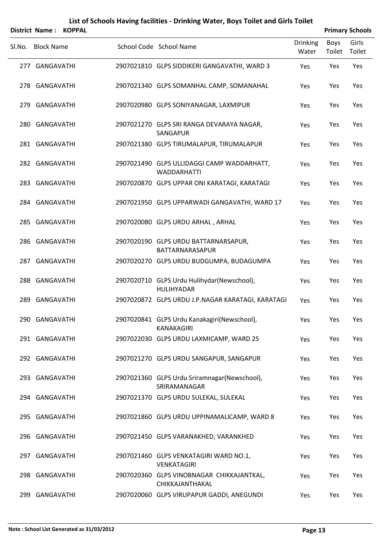|        | District Name: KOPPAL |  |                                                                  |                          |                | <b>Primary Schools</b> |
|--------|-----------------------|--|------------------------------------------------------------------|--------------------------|----------------|------------------------|
| SI.No. | <b>Block Name</b>     |  | School Code School Name                                          | <b>Drinking</b><br>Water | Boys<br>Toilet | Girls<br>Toilet        |
|        | 277 GANGAVATHI        |  | 2907021810 GLPS SIDDIKERI GANGAVATHI, WARD 3                     | Yes                      | Yes            | Yes                    |
|        | 278 GANGAVATHI        |  | 2907021340 GLPS SOMANHAL CAMP, SOMANAHAL                         | Yes                      | Yes            | Yes                    |
|        | 279 GANGAVATHI        |  | 2907020980 GLPS SONIYANAGAR, LAXMIPUR                            | Yes                      | Yes            | Yes                    |
|        | 280 GANGAVATHI        |  | 2907021270 GLPS SRI RANGA DEVARAYA NAGAR,<br>SANGAPUR            | Yes                      | Yes            | Yes                    |
|        | 281 GANGAVATHI        |  | 2907021380 GLPS TIRUMALAPUR, TIRUMALAPUR                         | Yes                      | Yes            | Yes                    |
|        | 282 GANGAVATHI        |  | 2907021490 GLPS ULLIDAGGI CAMP WADDARHATT,<br><b>WADDARHATTI</b> | Yes                      | Yes            | Yes                    |
|        | 283 GANGAVATHI        |  | 2907020870 GLPS UPPAR ONI KARATAGI, KARATAGI                     | Yes                      | Yes            | Yes                    |
|        | 284 GANGAVATHI        |  | 2907021950 GLPS UPPARWADI GANGAVATHI, WARD 17                    | Yes                      | Yes            | Yes                    |
|        | 285 GANGAVATHI        |  | 2907020080 GLPS URDU ARHAL, ARHAL                                | Yes                      | Yes            | Yes                    |
|        | 286 GANGAVATHI        |  | 2907020190 GLPS URDU BATTARNARSAPUR,<br>BATTARNARASAPUR          | Yes                      | Yes            | Yes                    |
|        | 287 GANGAVATHI        |  | 2907020270 GLPS URDU BUDGUMPA, BUDAGUMPA                         | Yes                      | Yes            | Yes                    |
|        | 288 GANGAVATHI        |  | 2907020710 GLPS Urdu Hulihydar(Newschool),<br><b>HULIHYADAR</b>  | Yes                      | Yes            | Yes                    |
|        | 289 GANGAVATHI        |  | 2907020872 GLPS URDU J.P.NAGAR KARATAGI, KARATAGI                | Yes                      | Yes            | Yes                    |
|        | 290 GANGAVATHI        |  | 2907020841 GLPS Urdu Kanakagiri(Newschool),<br><b>KANAKAGIRI</b> | Yes                      | Yes            | Yes                    |
|        | 291 GANGAVATHI        |  | 2907022030 GLPS URDU LAXMICAMP, WARD 25                          | Yes                      | Yes            | Yes                    |
|        | 292 GANGAVATHI        |  | 2907021270 GLPS URDU SANGAPUR, SANGAPUR                          | Yes                      | Yes            | Yes                    |
|        | 293 GANGAVATHI        |  | 2907021360 GLPS Urdu Sriramnagar(Newschool),<br>SRIRAMANAGAR     | Yes                      | Yes            | Yes                    |
|        | 294 GANGAVATHI        |  | 2907021370 GLPS URDU SULEKAL, SULEKAL                            | Yes                      | Yes            | Yes                    |
|        | 295 GANGAVATHI        |  | 2907021860 GLPS URDU UPPINAMALICAMP, WARD 8                      | Yes                      | Yes            | Yes                    |
|        | 296 GANGAVATHI        |  | 2907021450 GLPS VARANAKHED, VARANKHED                            | Yes                      | Yes            | Yes                    |
|        | 297 GANGAVATHI        |  | 2907021460 GLPS VENKATAGIRI WARD NO.1,<br><b>VENKATAGIRI</b>     | Yes                      | Yes            | Yes                    |
|        | 298 GANGAVATHI        |  | 2907020360 GLPS VINOBNAGAR CHIKKAJANTKAL,<br>CHIKKAJANTHAKAL     | Yes                      | Yes            | Yes                    |
|        | 299 GANGAVATHI        |  | 2907020060 GLPS VIRUPAPUR GADDI, ANEGUNDI                        | Yes                      | Yes            | Yes                    |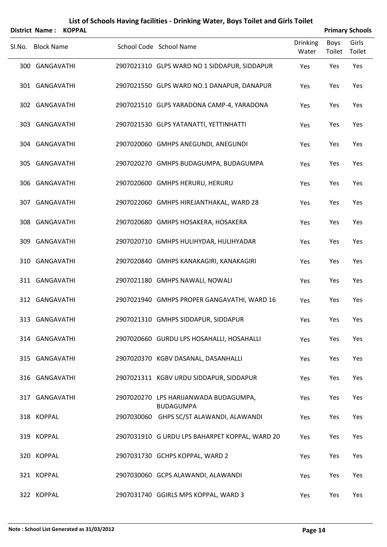|        |                       |               | List of Schools Having facilities - Drinking Water, Boys Toilet and Girls Toilet |                          |                |                        |
|--------|-----------------------|---------------|----------------------------------------------------------------------------------|--------------------------|----------------|------------------------|
|        | <b>District Name:</b> | <b>KOPPAL</b> |                                                                                  |                          |                | <b>Primary Schools</b> |
| Sl.No. | <b>Block Name</b>     |               | School Code School Name                                                          | <b>Drinking</b><br>Water | Boys<br>Toilet | Girls<br>Toilet        |
|        | 300 GANGAVATHI        |               | 2907021310 GLPS WARD NO 1 SIDDAPUR, SIDDAPUR                                     | Yes                      | Yes            | Yes                    |
|        | 301 GANGAVATHI        |               | 2907021550 GLPS WARD NO.1 DANAPUR, DANAPUR                                       | Yes                      | Yes            | Yes                    |
|        | 302 GANGAVATHI        |               | 2907021510 GLPS YARADONA CAMP-4, YARADONA                                        | Yes                      | Yes            | Yes                    |
|        | 303 GANGAVATHI        |               | 2907021530 GLPS YATANATTI, YETTINHATTI                                           | Yes                      | Yes            | Yes                    |
|        | 304 GANGAVATHI        |               | 2907020060 GMHPS ANEGUNDI, ANEGUNDI                                              | Yes                      | Yes            | Yes                    |
|        | 305 GANGAVATHI        |               | 2907020270 GMHPS BUDAGUMPA, BUDAGUMPA                                            | Yes                      | Yes            | Yes                    |
|        | 306 GANGAVATHI        |               | 2907020600 GMHPS HERURU, HERURU                                                  | Yes                      | Yes            | Yes                    |
|        | 307 GANGAVATHI        |               | 2907022060 GMHPS HIREJANTHAKAL, WARD 28                                          | Yes                      | Yes            | Yes                    |
|        | 308 GANGAVATHI        |               | 2907020680 GMHPS HOSAKERA, HOSAKERA                                              | Yes                      | Yes            | Yes                    |
|        | 309 GANGAVATHI        |               | 2907020710 GMHPS HULIHYDAR, HULIHYADAR                                           | Yes                      | Yes            | Yes                    |
|        | 310 GANGAVATHI        |               | 2907020840 GMHPS KANAKAGIRI, KANAKAGIRI                                          | Yes                      | Yes            | Yes                    |
|        | 311 GANGAVATHI        |               | 2907021180 GMHPS NAWALI, NOWALI                                                  | Yes                      | Yes            | Yes                    |
|        | 312 GANGAVATHI        |               | 2907021940 GMHPS PROPER GANGAVATHI, WARD 16                                      | Yes                      | Yes            | Yes                    |
|        |                       |               |                                                                                  |                          |                |                        |

| 313 GANGAVATHI |            | 2907021310 GMHPS SIDDAPUR, SIDDAPUR            | <b>Yes</b> | Yes        | Yes        |
|----------------|------------|------------------------------------------------|------------|------------|------------|
| 314 GANGAVATHI |            | 2907020660 GURDU LPS HOSAHALLI, HOSAHALLI      | Yes        | <b>Yes</b> | Yes        |
| 315 GANGAVATHI |            | 2907020370 KGBV DASANAL, DASANHALLI            | Yes        | <b>Yes</b> | Yes        |
| 316 GANGAVATHI |            | 2907021311 KGBV URDU SIDDAPUR, SIDDAPUR        | <b>Yes</b> | <b>Yes</b> | Yes        |
| 317 GANGAVATHI | 2907020270 | LPS HARIJANWADA BUDAGUMPA,<br><b>BUDAGUMPA</b> | Yes        | <b>Yes</b> | Yes        |
| 318 KOPPAL     | 2907030060 | GHPS SC/ST ALAWANDI, ALAWANDI                  | Yes        | Yes        | Yes        |
| 319 KOPPAL     |            | 2907031910 G URDU LPS BAHARPET KOPPAL, WARD 20 | Yes        | Yes        | Yes        |
| 320 KOPPAL     |            | 2907031730 GCHPS KOPPAL, WARD 2                | Yes        | <b>Yes</b> | <b>Yes</b> |
| 321 KOPPAL     |            | 2907030060 GCPS ALAWANDI, ALAWANDI             | Yes        | Yes        | Yes        |
| 322 KOPPAL     |            | 2907031740 GGIRLS MPS KOPPAL, WARD 3           | Yes        | Yes        | Yes        |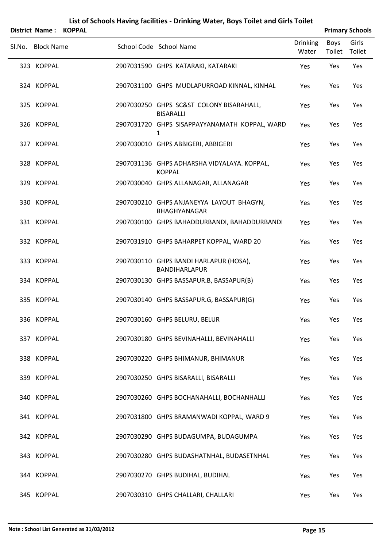|        | District Name: KOPPAL |  |                                                                 |                          |                | <b>Primary Schools</b> |
|--------|-----------------------|--|-----------------------------------------------------------------|--------------------------|----------------|------------------------|
| Sl.No. | <b>Block Name</b>     |  | School Code School Name                                         | <b>Drinking</b><br>Water | Boys<br>Toilet | Girls<br>Toilet        |
|        | 323 KOPPAL            |  | 2907031590 GHPS KATARAKI, KATARAKI                              | Yes                      | Yes            | Yes                    |
|        | 324 KOPPAL            |  | 2907031100 GHPS MUDLAPURROAD KINNAL, KINHAL                     | Yes                      | Yes            | Yes                    |
|        | 325 KOPPAL            |  | 2907030250 GHPS SC&ST COLONY BISARAHALL,<br><b>BISARALLI</b>    | Yes                      | Yes            | Yes                    |
|        | 326 KOPPAL            |  | 2907031720 GHPS SISAPPAYYANAMATH KOPPAL, WARD<br>1              | Yes                      | Yes            | Yes                    |
|        | 327 KOPPAL            |  | 2907030010 GHPS ABBIGERI, ABBIGERI                              | Yes                      | Yes            | Yes                    |
|        | 328 KOPPAL            |  | 2907031136 GHPS ADHARSHA VIDYALAYA. KOPPAL,<br><b>KOPPAL</b>    | Yes                      | Yes            | Yes                    |
|        | 329 KOPPAL            |  | 2907030040 GHPS ALLANAGAR, ALLANAGAR                            | Yes                      | Yes            | Yes                    |
|        | 330 KOPPAL            |  | 2907030210 GHPS ANJANEYYA LAYOUT BHAGYN,<br><b>BHAGHYANAGAR</b> | Yes                      | Yes            | Yes                    |
|        | 331 KOPPAL            |  | 2907030100 GHPS BAHADDURBANDI, BAHADDURBANDI                    | Yes                      | Yes            | Yes                    |
|        | 332 KOPPAL            |  | 2907031910 GHPS BAHARPET KOPPAL, WARD 20                        | Yes                      | Yes            | Yes                    |
|        | 333 KOPPAL            |  | 2907030110 GHPS BANDI HARLAPUR (HOSA),<br>BANDIHARLAPUR         | Yes                      | Yes            | Yes                    |
|        | 334 KOPPAL            |  | 2907030130 GHPS BASSAPUR.B, BASSAPUR(B)                         | Yes                      | Yes            | Yes                    |
|        | 335 KOPPAL            |  | 2907030140 GHPS BASSAPUR.G, BASSAPUR(G)                         | Yes                      | Yes            | Yes                    |
|        | 336 KOPPAL            |  | 2907030160 GHPS BELURU, BELUR                                   | Yes                      | Yes            | Yes                    |
|        | 337 KOPPAL            |  | 2907030180 GHPS BEVINAHALLI, BEVINAHALLI                        | Yes                      | Yes            | Yes                    |
|        | 338 KOPPAL            |  | 2907030220 GHPS BHIMANUR, BHIMANUR                              | Yes                      | Yes            | Yes                    |
|        | 339 KOPPAL            |  | 2907030250 GHPS BISARALLI, BISARALLI                            | Yes                      | Yes            | Yes                    |
|        | 340 KOPPAL            |  | 2907030260 GHPS BOCHANAHALLI, BOCHANHALLI                       | Yes                      | Yes            | Yes                    |
|        | 341 KOPPAL            |  | 2907031800 GHPS BRAMANWADI KOPPAL, WARD 9                       | Yes                      | Yes            | Yes                    |
|        | 342 KOPPAL            |  | 2907030290 GHPS BUDAGUMPA, BUDAGUMPA                            | Yes                      | Yes            | Yes                    |
|        | 343 KOPPAL            |  | 2907030280 GHPS BUDASHATNHAL, BUDASETNHAL                       | Yes                      | Yes            | Yes                    |
|        | 344 KOPPAL            |  | 2907030270 GHPS BUDIHAL, BUDIHAL                                | Yes                      | Yes            | Yes                    |
|        | 345 KOPPAL            |  | 2907030310 GHPS CHALLARI, CHALLARI                              | Yes                      | Yes            | Yes                    |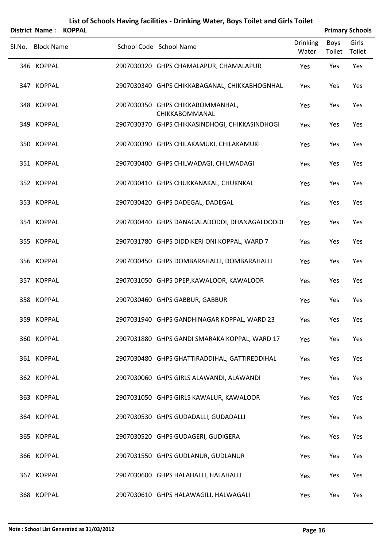|        | <b>District Name:</b> | <b>KOPPAL</b> |                                                    |                          |                | <b>Primary Schools</b> |
|--------|-----------------------|---------------|----------------------------------------------------|--------------------------|----------------|------------------------|
| Sl.No. | <b>Block Name</b>     |               | School Code School Name                            | <b>Drinking</b><br>Water | Boys<br>Toilet | Girls<br>Toilet        |
|        | 346 KOPPAL            |               | 2907030320 GHPS CHAMALAPUR, CHAMALAPUR             | Yes                      | Yes            | Yes                    |
|        | 347 KOPPAL            |               | 2907030340 GHPS CHIKKABAGANAL, CHIKKABHOGNHAL      | Yes                      | Yes            | Yes                    |
|        | 348 KOPPAL            |               | 2907030350 GHPS CHIKKABOMMANHAL,<br>CHIKKABOMMANAL | Yes                      | Yes            | Yes                    |
|        | 349 KOPPAL            |               | 2907030370 GHPS CHIKKASINDHOGI, CHIKKASINDHOGI     | Yes                      | Yes            | Yes                    |
|        | 350 KOPPAL            |               | 2907030390 GHPS CHILAKAMUKI, CHILAKAMUKI           | Yes                      | Yes            | Yes                    |
|        | 351 KOPPAL            |               | 2907030400 GHPS CHILWADAGI, CHILWADAGI             | Yes                      | Yes            | Yes                    |
|        | 352 KOPPAL            |               | 2907030410 GHPS CHUKKANAKAL, CHUKNKAL              | Yes                      | Yes            | Yes                    |
|        | 353 KOPPAL            |               | 2907030420 GHPS DADEGAL, DADEGAL                   | Yes                      | Yes            | Yes                    |
|        | 354 KOPPAL            |               | 2907030440 GHPS DANAGALADODDI, DHANAGALDODDI       | Yes                      | Yes            | Yes                    |
|        | 355 KOPPAL            |               | 2907031780 GHPS DIDDIKERI ONI KOPPAL, WARD 7       | Yes                      | Yes            | Yes                    |
|        | 356 KOPPAL            |               | 2907030450 GHPS DOMBARAHALLI, DOMBARAHALLI         | Yes                      | Yes            | Yes                    |
|        | 357 KOPPAL            |               | 2907031050 GHPS DPEP, KAWALOOR, KAWALOOR           | Yes                      | Yes            | Yes                    |
|        | 358 KOPPAL            |               | 2907030460 GHPS GABBUR, GABBUR                     | Yes                      | Yes            | Yes                    |
|        | 359 KOPPAL            |               | 2907031940 GHPS GANDHINAGAR KOPPAL, WARD 23        | Yes                      | Yes            | Yes                    |
|        | 360 KOPPAL            |               | 2907031880 GHPS GANDI SMARAKA KOPPAL, WARD 17      | Yes                      | Yes            | Yes                    |
|        | 361 KOPPAL            |               | 2907030480 GHPS GHATTIRADDIHAL, GATTIREDDIHAL      | Yes                      | Yes            | Yes                    |
|        | 362 KOPPAL            |               | 2907030060 GHPS GIRLS ALAWANDI, ALAWANDI           | Yes                      | Yes            | Yes                    |
|        | 363 KOPPAL            |               | 2907031050 GHPS GIRLS KAWALUR, KAWALOOR            | Yes                      | Yes            | Yes                    |
|        | 364 KOPPAL            |               | 2907030530 GHPS GUDADALLI, GUDADALLI               | Yes                      | Yes            | Yes                    |
|        | 365 KOPPAL            |               | 2907030520 GHPS GUDAGERI, GUDIGERA                 | Yes                      | Yes            | Yes                    |
|        | 366 KOPPAL            |               | 2907031550 GHPS GUDLANUR, GUDLANUR                 | Yes                      | Yes            | Yes                    |
|        | 367 KOPPAL            |               | 2907030600 GHPS HALAHALLI, HALAHALLI               | Yes                      | Yes            | Yes                    |
|        | 368 KOPPAL            |               | 2907030610 GHPS HALAWAGILI, HALWAGALI              | Yes                      | Yes            | Yes                    |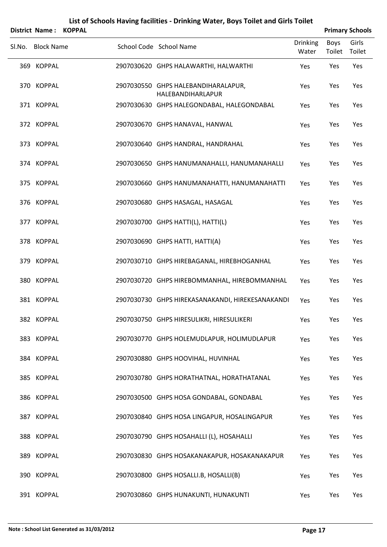|        | <b>District Name:</b> | <b>KOPPAL</b> |                                                          |                          |                | <b>Primary Schools</b> |
|--------|-----------------------|---------------|----------------------------------------------------------|--------------------------|----------------|------------------------|
| SI.No. | <b>Block Name</b>     |               | School Code School Name                                  | <b>Drinking</b><br>Water | Boys<br>Toilet | Girls<br>Toilet        |
|        | 369 KOPPAL            |               | 2907030620 GHPS HALAWARTHI, HALWARTHI                    | Yes                      | Yes            | Yes                    |
|        | 370 KOPPAL            |               | 2907030550 GHPS HALEBANDIHARALAPUR,<br>HALEBANDIHARLAPUR | Yes                      | Yes            | Yes                    |
|        | 371 KOPPAL            |               | 2907030630 GHPS HALEGONDABAL, HALEGONDABAL               | Yes                      | Yes            | Yes                    |
|        | 372 KOPPAL            |               | 2907030670 GHPS HANAVAL, HANWAL                          | Yes                      | Yes            | Yes                    |
|        | 373 KOPPAL            |               | 2907030640 GHPS HANDRAL, HANDRAHAL                       | Yes                      | Yes            | Yes                    |
|        | 374 KOPPAL            |               | 2907030650 GHPS HANUMANAHALLI, HANUMANAHALLI             | Yes                      | Yes            | Yes                    |
|        | 375 KOPPAL            |               | 2907030660 GHPS HANUMANAHATTI, HANUMANAHATTI             | Yes                      | Yes            | Yes                    |
|        | 376 KOPPAL            |               | 2907030680 GHPS HASAGAL, HASAGAL                         | Yes                      | Yes            | Yes                    |
|        | 377 KOPPAL            |               | 2907030700 GHPS HATTI(L), HATTI(L)                       | Yes                      | Yes            | Yes                    |
|        | 378 KOPPAL            |               | 2907030690 GHPS HATTI, HATTI(A)                          | Yes                      | Yes            | Yes                    |
|        | 379 KOPPAL            |               | 2907030710 GHPS HIREBAGANAL, HIREBHOGANHAL               | Yes                      | Yes            | Yes                    |
|        | 380 KOPPAL            |               | 2907030720 GHPS HIREBOMMANHAL, HIREBOMMANHAL             | Yes                      | Yes            | Yes                    |
|        | 381 KOPPAL            |               | 2907030730 GHPS HIREKASANAKANDI, HIREKESANAKANDI         | Yes                      | Yes            | Yes                    |
|        | 382 KOPPAL            |               | 2907030750 GHPS HIRESULIKRI, HIRESULIKERI                | Yes                      | Yes            | Yes                    |
|        | 383 KOPPAL            |               | 2907030770 GHPS HOLEMUDLAPUR, HOLIMUDLAPUR               | Yes                      | Yes            | Yes                    |
|        | 384 KOPPAL            |               | 2907030880 GHPS HOOVIHAL, HUVINHAL                       | Yes                      | Yes            | Yes                    |
|        | 385 KOPPAL            |               | 2907030780 GHPS HORATHATNAL, HORATHATANAL                | Yes                      | Yes            | Yes                    |
|        | 386 KOPPAL            |               | 2907030500 GHPS HOSA GONDABAL, GONDABAL                  | Yes                      | Yes            | Yes                    |
|        | 387 KOPPAL            |               | 2907030840 GHPS HOSA LINGAPUR, HOSALINGAPUR              | Yes                      | Yes            | Yes                    |
|        | 388 KOPPAL            |               | 2907030790 GHPS HOSAHALLI (L), HOSAHALLI                 | Yes                      | Yes            | Yes                    |
|        | 389 KOPPAL            |               | 2907030830 GHPS HOSAKANAKAPUR, HOSAKANAKAPUR             | Yes                      | Yes            | Yes                    |
|        | 390 KOPPAL            |               | 2907030800 GHPS HOSALLI.B, HOSALLI(B)                    | Yes                      | Yes            | Yes                    |
|        | 391 KOPPAL            |               | 2907030860 GHPS HUNAKUNTI, HUNAKUNTI                     | Yes                      | Yes            | Yes                    |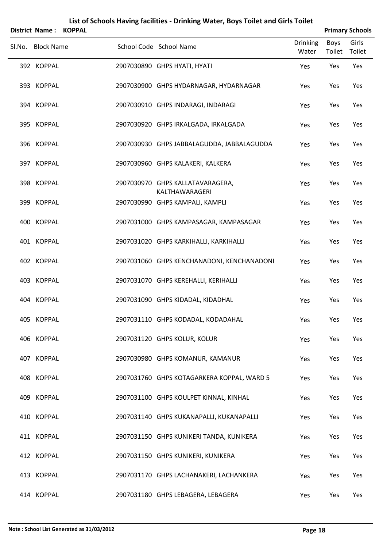|        | <b>District Name:</b> | <b>KOPPAL</b> |                                                    |                          | <b>Primary Schools</b> |                 |
|--------|-----------------------|---------------|----------------------------------------------------|--------------------------|------------------------|-----------------|
| Sl.No. | <b>Block Name</b>     |               | School Code School Name                            | <b>Drinking</b><br>Water | Boys<br>Toilet         | Girls<br>Toilet |
|        | 392 KOPPAL            |               | 2907030890 GHPS HYATI, HYATI                       | Yes                      | Yes                    | Yes             |
|        | 393 KOPPAL            |               | 2907030900 GHPS HYDARNAGAR, HYDARNAGAR             | Yes                      | Yes                    | Yes             |
|        | 394 KOPPAL            |               | 2907030910 GHPS INDARAGI, INDARAGI                 | Yes                      | Yes                    | Yes             |
|        | 395 KOPPAL            |               | 2907030920 GHPS IRKALGADA, IRKALGADA               | Yes                      | Yes                    | Yes             |
|        | 396 KOPPAL            |               | 2907030930 GHPS JABBALAGUDDA, JABBALAGUDDA         | Yes                      | Yes                    | Yes             |
|        | 397 KOPPAL            |               | 2907030960 GHPS KALAKERI, KALKERA                  | Yes                      | Yes                    | Yes             |
|        | 398 KOPPAL            |               | 2907030970 GHPS KALLATAVARAGERA,<br>KALTHAWARAGERI | Yes                      | Yes                    | Yes             |
|        | 399 KOPPAL            |               | 2907030990 GHPS KAMPALI, KAMPLI                    | Yes                      | Yes                    | Yes             |
|        | 400 KOPPAL            |               | 2907031000 GHPS KAMPASAGAR, KAMPASAGAR             | Yes                      | Yes                    | Yes             |
|        | 401 KOPPAL            |               | 2907031020 GHPS KARKIHALLI, KARKIHALLI             | Yes                      | Yes                    | Yes             |
|        | 402 KOPPAL            |               | 2907031060 GHPS KENCHANADONI, KENCHANADONI         | Yes                      | Yes                    | Yes             |
|        | 403 KOPPAL            |               | 2907031070 GHPS KEREHALLI, KERIHALLI               | Yes                      | Yes                    | Yes             |
|        | 404 KOPPAL            |               | 2907031090 GHPS KIDADAL, KIDADHAL                  | Yes                      | Yes                    | Yes             |
|        | 405 KOPPAL            |               | 2907031110 GHPS KODADAL, KODADAHAL                 | Yes                      | Yes                    | Yes             |
|        | 406 KOPPAL            |               | 2907031120 GHPS KOLUR, KOLUR                       | Yes                      | Yes                    | Yes             |
|        | 407 KOPPAL            |               | 2907030980 GHPS KOMANUR, KAMANUR                   | Yes                      | Yes                    | Yes             |
|        | 408 KOPPAL            |               | 2907031760 GHPS KOTAGARKERA KOPPAL, WARD 5         | Yes                      | Yes                    | Yes             |
|        | 409 KOPPAL            |               | 2907031100 GHPS KOULPET KINNAL, KINHAL             | Yes                      | Yes                    | Yes             |
|        | 410 KOPPAL            |               | 2907031140 GHPS KUKANAPALLI, KUKANAPALLI           | Yes                      | Yes                    | Yes             |
|        | 411 KOPPAL            |               | 2907031150 GHPS KUNIKERI TANDA, KUNIKERA           | Yes                      | Yes                    | Yes             |
|        | 412 KOPPAL            |               | 2907031150 GHPS KUNIKERI, KUNIKERA                 | Yes                      | Yes                    | Yes             |
|        | 413 KOPPAL            |               | 2907031170 GHPS LACHANAKERI, LACHANKERA            | Yes                      | Yes                    | Yes             |
|        | 414 KOPPAL            |               | 2907031180 GHPS LEBAGERA, LEBAGERA                 | Yes                      | Yes                    | Yes             |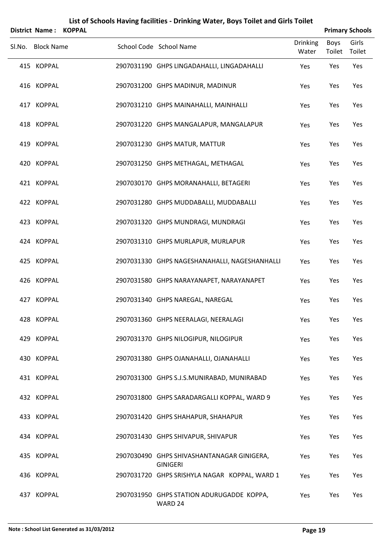| List of Schools Having facilities - Drinking Water, Boys Toilet and Girls Toilet<br><b>Primary Schools</b><br>District Name:<br><b>KOPPAL</b> |  |                                                               |                          |                       |                 |  |  |  |  |  |
|-----------------------------------------------------------------------------------------------------------------------------------------------|--|---------------------------------------------------------------|--------------------------|-----------------------|-----------------|--|--|--|--|--|
| Sl.No. Block Name                                                                                                                             |  | School Code School Name                                       | <b>Drinking</b><br>Water | <b>Boys</b><br>Toilet | Girls<br>Toilet |  |  |  |  |  |
| 415 KOPPAL                                                                                                                                    |  | 2907031190 GHPS LINGADAHALLI, LINGADAHALLI                    | Yes                      | Yes                   | Yes             |  |  |  |  |  |
| 416 KOPPAL                                                                                                                                    |  | 2907031200 GHPS MADINUR, MADINUR                              | Yes                      | Yes                   | Yes             |  |  |  |  |  |
| 417 KOPPAL                                                                                                                                    |  | 2907031210 GHPS MAINAHALLI, MAINHALLI                         | Yes                      | Yes                   | Yes             |  |  |  |  |  |
| 418 KOPPAL                                                                                                                                    |  | 2907031220 GHPS MANGALAPUR, MANGALAPUR                        | Yes                      | Yes                   | Yes             |  |  |  |  |  |
| 419 KOPPAL                                                                                                                                    |  | 2907031230 GHPS MATUR, MATTUR                                 | Yes                      | Yes                   | Yes             |  |  |  |  |  |
| 420 KOPPAL                                                                                                                                    |  | 2907031250 GHPS METHAGAL, METHAGAL                            | Yes                      | Yes                   | Yes             |  |  |  |  |  |
| 421 KOPPAL                                                                                                                                    |  | 2907030170 GHPS MORANAHALLI, BETAGERI                         | Yes                      | Yes                   | Yes             |  |  |  |  |  |
| 422 KOPPAL                                                                                                                                    |  | 2907031280 GHPS MUDDABALLI, MUDDABALLI                        | Yes                      | Yes                   | Yes             |  |  |  |  |  |
| 423 KOPPAL                                                                                                                                    |  | 2907031320 GHPS MUNDRAGI, MUNDRAGI                            | Yes                      | Yes                   | Yes             |  |  |  |  |  |
| 424 KOPPAL                                                                                                                                    |  | 2907031310 GHPS MURLAPUR, MURLAPUR                            | Yes                      | Yes                   | Yes             |  |  |  |  |  |
| 425 KOPPAL                                                                                                                                    |  | 2907031330 GHPS NAGESHANAHALLI, NAGESHANHALLI                 | Yes                      | Yes                   | Yes             |  |  |  |  |  |
| 426 KOPPAL                                                                                                                                    |  | 2907031580 GHPS NARAYANAPET, NARAYANAPET                      | Yes                      | Yes                   | Yes             |  |  |  |  |  |
| 427 KOPPAL                                                                                                                                    |  | 2907031340 GHPS NAREGAL, NAREGAL                              | Yes                      | Yes                   | Yes             |  |  |  |  |  |
| 428 KOPPAL                                                                                                                                    |  | 2907031360 GHPS NEERALAGI, NEERALAGI                          | Yes                      | Yes                   | Yes             |  |  |  |  |  |
| 429 KOPPAL                                                                                                                                    |  | 2907031370 GHPS NILOGIPUR, NILOGIPUR                          | Yes                      | Yes                   | Yes             |  |  |  |  |  |
| 430 KOPPAL                                                                                                                                    |  | 2907031380 GHPS OJANAHALLI, OJANAHALLI                        | Yes                      | Yes                   | Yes             |  |  |  |  |  |
| 431 KOPPAL                                                                                                                                    |  | 2907031300 GHPS S.J.S.MUNIRABAD, MUNIRABAD                    | Yes                      | Yes                   | Yes             |  |  |  |  |  |
| 432 KOPPAL                                                                                                                                    |  | 2907031800 GHPS SARADARGALLI KOPPAL, WARD 9                   | Yes                      | Yes                   | Yes             |  |  |  |  |  |
| 433 KOPPAL                                                                                                                                    |  | 2907031420 GHPS SHAHAPUR, SHAHAPUR                            | Yes                      | Yes                   | Yes             |  |  |  |  |  |
| 434 KOPPAL                                                                                                                                    |  | 2907031430 GHPS SHIVAPUR, SHIVAPUR                            | Yes                      | Yes                   | Yes             |  |  |  |  |  |
| 435 KOPPAL                                                                                                                                    |  | 2907030490 GHPS SHIVASHANTANAGAR GINIGERA,<br><b>GINIGERI</b> | Yes                      | Yes                   | Yes             |  |  |  |  |  |
| 436 KOPPAL                                                                                                                                    |  | 2907031720 GHPS SRISHYLA NAGAR KOPPAL, WARD 1                 | Yes                      | Yes                   | Yes             |  |  |  |  |  |
| 437 KOPPAL                                                                                                                                    |  | 2907031950 GHPS STATION ADURUGADDE KOPPA,<br>WARD 24          | Yes                      | Yes                   | Yes             |  |  |  |  |  |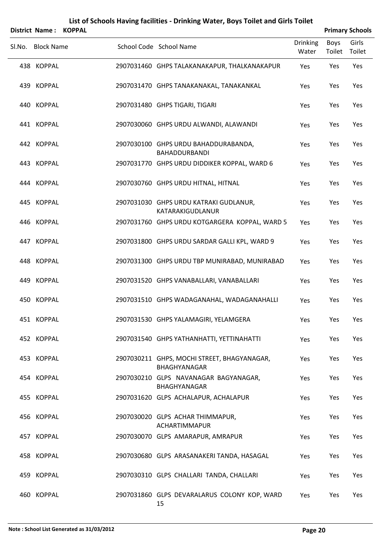|        | District Name:    | <b>KOPPAL</b> |                                                              |                          | <b>Primary Schools</b> |                 |
|--------|-------------------|---------------|--------------------------------------------------------------|--------------------------|------------------------|-----------------|
| Sl.No. | <b>Block Name</b> |               | School Code School Name                                      | <b>Drinking</b><br>Water | <b>Boys</b><br>Toilet  | Girls<br>Toilet |
|        | 438 KOPPAL        |               | 2907031460 GHPS TALAKANAKAPUR, THALKANAKAPUR                 | Yes                      | Yes                    | Yes             |
|        | 439 KOPPAL        |               | 2907031470 GHPS TANAKANAKAL, TANAKANKAL                      | Yes                      | Yes                    | Yes             |
|        | 440 KOPPAL        |               | 2907031480 GHPS TIGARI, TIGARI                               | Yes                      | Yes                    | Yes             |
|        | 441 KOPPAL        |               | 2907030060 GHPS URDU ALWANDI, ALAWANDI                       | Yes                      | Yes                    | Yes             |
|        | 442 KOPPAL        |               | 2907030100 GHPS URDU BAHADDURABANDA,<br><b>BAHADDURBANDI</b> | Yes                      | Yes                    | Yes             |
|        | 443 KOPPAL        |               | 2907031770 GHPS URDU DIDDIKER KOPPAL, WARD 6                 | Yes                      | Yes                    | Yes             |
|        | 444 KOPPAL        |               | 2907030760 GHPS URDU HITNAL, HITNAL                          | Yes                      | Yes                    | Yes             |
|        | 445 KOPPAL        |               | 2907031030 GHPS URDU KATRAKI GUDLANUR,<br>KATARAKIGUDLANUR   | Yes                      | Yes                    | Yes             |
|        | 446 KOPPAL        |               | 2907031760 GHPS URDU KOTGARGERA KOPPAL, WARD 5               | Yes                      | Yes                    | Yes             |
|        | 447 KOPPAL        |               | 2907031800 GHPS URDU SARDAR GALLI KPL, WARD 9                | Yes                      | Yes                    | Yes             |
|        | 448 KOPPAL        |               | 2907031300 GHPS URDU TBP MUNIRABAD, MUNIRABAD                | Yes                      | Yes                    | Yes             |
|        | 449 KOPPAL        |               | 2907031520 GHPS VANABALLARI, VANABALLARI                     | Yes                      | Yes                    | Yes             |
|        | 450 KOPPAL        |               | 2907031510 GHPS WADAGANAHAL, WADAGANAHALLI                   | Yes                      | Yes                    | Yes             |
|        | 451 KOPPAL        |               | 2907031530 GHPS YALAMAGIRI, YELAMGERA                        | Yes                      | Yes                    | Yes             |
|        | 452 KOPPAL        |               | 2907031540 GHPS YATHANHATTI, YETTINAHATTI                    | Yes                      | Yes                    | Yes             |
|        | 453 KOPPAL        |               | 2907030211 GHPS, MOCHI STREET, BHAGYANAGAR,<br>BHAGHYANAGAR  | Yes                      | Yes                    | Yes             |
|        | 454 KOPPAL        |               | 2907030210 GLPS NAVANAGAR BAGYANAGAR,<br>BHAGHYANAGAR        | Yes                      | Yes                    | Yes             |
|        | 455 KOPPAL        |               | 2907031620 GLPS ACHALAPUR, ACHALAPUR                         | Yes                      | Yes                    | Yes             |
|        | 456 KOPPAL        |               | 2907030020 GLPS ACHAR THIMMAPUR,<br>ACHARTIMMAPUR            | Yes                      | Yes                    | Yes             |
|        | 457 KOPPAL        |               | 2907030070 GLPS AMARAPUR, AMRAPUR                            | Yes                      | Yes                    | Yes             |
|        | 458 KOPPAL        |               | 2907030680 GLPS ARASANAKERI TANDA, HASAGAL                   | Yes                      | Yes                    | Yes             |
|        | 459 KOPPAL        |               | 2907030310 GLPS CHALLARI TANDA, CHALLARI                     | Yes                      | Yes                    | Yes             |
|        | 460 KOPPAL        |               | 2907031860 GLPS DEVARALARUS COLONY KOP, WARD                 | Yes                      | Yes                    | Yes             |

15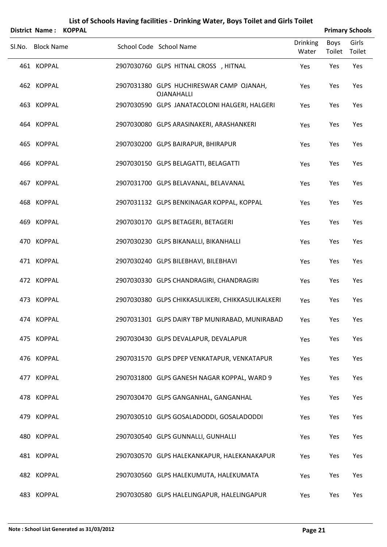|        | <b>District Name:</b> | <b>KOPPAL</b> |                                                               |                          |                | <b>Primary Schools</b> |
|--------|-----------------------|---------------|---------------------------------------------------------------|--------------------------|----------------|------------------------|
| Sl.No. | <b>Block Name</b>     |               | School Code School Name                                       | <b>Drinking</b><br>Water | Boys<br>Toilet | Girls<br>Toilet        |
|        | 461 KOPPAL            |               | 2907030760 GLPS HITNAL CROSS, HITNAL                          | Yes                      | Yes            | Yes                    |
|        | 462 KOPPAL            |               | 2907031380 GLPS HUCHIRESWAR CAMP OJANAH,<br><b>OJANAHALLI</b> | Yes                      | Yes            | Yes                    |
|        | 463 KOPPAL            |               | 2907030590 GLPS JANATACOLONI HALGERI, HALGERI                 | Yes                      | Yes            | Yes                    |
|        | 464 KOPPAL            |               | 2907030080 GLPS ARASINAKERI, ARASHANKERI                      | Yes                      | Yes            | Yes                    |
|        | 465 KOPPAL            |               | 2907030200 GLPS BAIRAPUR, BHIRAPUR                            | Yes                      | Yes            | Yes                    |
|        | 466 KOPPAL            |               | 2907030150 GLPS BELAGATTI, BELAGATTI                          | Yes                      | Yes            | Yes                    |
|        | 467 KOPPAL            |               | 2907031700 GLPS BELAVANAL, BELAVANAL                          | Yes                      | Yes            | Yes                    |
|        | 468 KOPPAL            |               | 2907031132 GLPS BENKINAGAR KOPPAL, KOPPAL                     | Yes                      | Yes            | Yes                    |
|        | 469 KOPPAL            |               | 2907030170 GLPS BETAGERI, BETAGERI                            | Yes                      | Yes            | Yes                    |
|        | 470 KOPPAL            |               | 2907030230 GLPS BIKANALLI, BIKANHALLI                         | Yes                      | Yes            | Yes                    |
|        | 471 KOPPAL            |               | 2907030240 GLPS BILEBHAVI, BILEBHAVI                          | Yes                      | Yes            | Yes                    |
|        | 472 KOPPAL            |               | 2907030330 GLPS CHANDRAGIRI, CHANDRAGIRI                      | Yes                      | Yes            | Yes                    |
|        | 473 KOPPAL            |               | 2907030380 GLPS CHIKKASULIKERI, CHIKKASULIKALKERI             | Yes                      | Yes            | Yes                    |
|        | 474 KOPPAL            |               | 2907031301 GLPS DAIRY TBP MUNIRABAD, MUNIRABAD                | Yes                      | Yes            | Yes                    |
|        | 475 KOPPAL            |               | 2907030430 GLPS DEVALAPUR, DEVALAPUR                          | Yes                      | Yes            | Yes                    |
|        | 476 KOPPAL            |               | 2907031570 GLPS DPEP VENKATAPUR, VENKATAPUR                   | Yes                      | Yes            | Yes                    |
|        | 477 KOPPAL            |               | 2907031800 GLPS GANESH NAGAR KOPPAL, WARD 9                   | Yes                      | Yes            | Yes                    |
|        | 478 KOPPAL            |               | 2907030470 GLPS GANGANHAL, GANGANHAL                          | Yes                      | Yes            | Yes                    |
|        | 479 KOPPAL            |               | 2907030510 GLPS GOSALADODDI, GOSALADODDI                      | Yes                      | Yes            | Yes                    |
|        | 480 KOPPAL            |               | 2907030540 GLPS GUNNALLI, GUNHALLI                            | Yes                      | Yes            | Yes                    |
|        | 481 KOPPAL            |               | 2907030570 GLPS HALEKANKAPUR, HALEKANAKAPUR                   | Yes                      | Yes            | Yes                    |
|        | 482 KOPPAL            |               | 2907030560 GLPS HALEKUMUTA, HALEKUMATA                        | Yes                      | Yes            | Yes                    |
|        | 483 KOPPAL            |               | 2907030580 GLPS HALELINGAPUR, HALELINGAPUR                    | Yes                      | Yes            | Yes                    |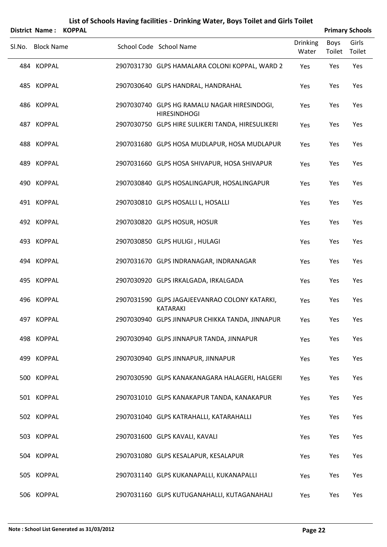|        |                   | District Name: KOPPAL |                                                                     |                          |                | <b>Primary Schools</b> |
|--------|-------------------|-----------------------|---------------------------------------------------------------------|--------------------------|----------------|------------------------|
| SI.No. | <b>Block Name</b> |                       | School Code School Name                                             | <b>Drinking</b><br>Water | Boys<br>Toilet | Girls<br>Toilet        |
|        | 484 KOPPAL        |                       | 2907031730 GLPS HAMALARA COLONI KOPPAL, WARD 2                      | Yes                      | Yes            | Yes                    |
|        | 485 KOPPAL        |                       | 2907030640 GLPS HANDRAL, HANDRAHAL                                  | Yes                      | Yes            | Yes                    |
|        | 486 KOPPAL        |                       | 2907030740 GLPS HG RAMALU NAGAR HIRESINDOGI,<br><b>HIRESINDHOGI</b> | Yes                      | Yes            | Yes                    |
|        | 487 KOPPAL        |                       | 2907030750 GLPS HIRE SULIKERI TANDA, HIRESULIKERI                   | Yes                      | Yes            | Yes                    |
|        | 488 KOPPAL        |                       | 2907031680 GLPS HOSA MUDLAPUR, HOSA MUDLAPUR                        | Yes                      | Yes            | Yes                    |
|        | 489 KOPPAL        |                       | 2907031660 GLPS HOSA SHIVAPUR, HOSA SHIVAPUR                        | Yes                      | Yes            | Yes                    |
|        | 490 KOPPAL        |                       | 2907030840 GLPS HOSALINGAPUR, HOSALINGAPUR                          | Yes                      | Yes            | Yes                    |
|        | 491 KOPPAL        |                       | 2907030810 GLPS HOSALLI L, HOSALLI                                  | Yes                      | Yes            | Yes                    |
|        | 492 KOPPAL        |                       | 2907030820 GLPS HOSUR, HOSUR                                        | Yes                      | Yes            | Yes                    |
|        | 493 KOPPAL        |                       | 2907030850 GLPS HULIGI, HULAGI                                      | Yes                      | Yes            | Yes                    |
|        | 494 KOPPAL        |                       | 2907031670 GLPS INDRANAGAR, INDRANAGAR                              | Yes                      | Yes            | Yes                    |
|        | 495 KOPPAL        |                       | 2907030920 GLPS IRKALGADA, IRKALGADA                                | Yes                      | Yes            | Yes                    |
|        | 496 KOPPAL        |                       | 2907031590 GLPS JAGAJEEVANRAO COLONY KATARKI,<br><b>KATARAKI</b>    | Yes                      | Yes            | Yes                    |
|        | 497 KOPPAL        |                       | 2907030940 GLPS JINNAPUR CHIKKA TANDA, JINNAPUR                     | Yes                      | Yes            | Yes                    |
|        | 498 KOPPAL        |                       | 2907030940 GLPS JINNAPUR TANDA, JINNAPUR                            | Yes                      | Yes            | Yes                    |
|        | 499 KOPPAL        |                       | 2907030940 GLPS JINNAPUR, JINNAPUR                                  | Yes                      | Yes            | Yes                    |
|        | 500 KOPPAL        |                       | 2907030590 GLPS KANAKANAGARA HALAGERI, HALGERI                      | Yes                      | Yes            | Yes                    |
|        | 501 KOPPAL        |                       | 2907031010 GLPS KANAKAPUR TANDA, KANAKAPUR                          | Yes                      | Yes            | Yes                    |
|        | 502 KOPPAL        |                       | 2907031040 GLPS KATRAHALLI, KATARAHALLI                             | Yes                      | Yes            | Yes                    |
|        | 503 KOPPAL        |                       | 2907031600 GLPS KAVALI, KAVALI                                      | Yes                      | Yes            | Yes                    |
|        | 504 KOPPAL        |                       | 2907031080 GLPS KESALAPUR, KESALAPUR                                | Yes                      | Yes            | Yes                    |
|        | 505 KOPPAL        |                       | 2907031140 GLPS KUKANAPALLI, KUKANAPALLI                            | Yes                      | Yes            | Yes                    |
|        | 506 KOPPAL        |                       | 2907031160 GLPS KUTUGANAHALLI, KUTAGANAHALI                         | Yes                      | Yes            | Yes                    |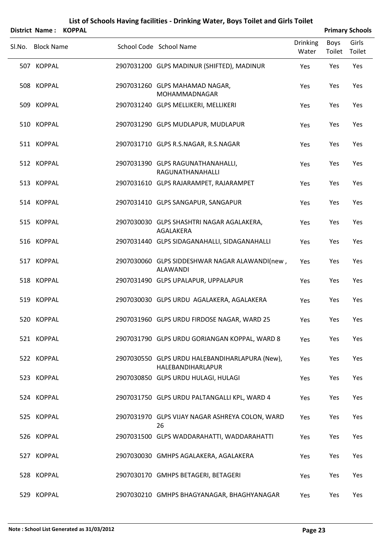|                   | District Name: KOPPAL |                                                                     |                          |                | <b>Primary Schools</b> |
|-------------------|-----------------------|---------------------------------------------------------------------|--------------------------|----------------|------------------------|
| Sl.No. Block Name |                       | School Code School Name                                             | <b>Drinking</b><br>Water | Boys<br>Toilet | Girls<br>Toilet        |
| 507 KOPPAL        |                       | 2907031200 GLPS MADINUR (SHIFTED), MADINUR                          | Yes                      | Yes            | Yes                    |
| 508 KOPPAL        |                       | 2907031260 GLPS MAHAMAD NAGAR,<br><b>MOHAMMADNAGAR</b>              | Yes                      | Yes            | Yes                    |
| 509 KOPPAL        |                       | 2907031240 GLPS MELLIKERI, MELLIKERI                                | Yes                      | Yes            | Yes                    |
| 510 KOPPAL        |                       | 2907031290 GLPS MUDLAPUR, MUDLAPUR                                  | Yes                      | Yes            | Yes                    |
| 511 KOPPAL        |                       | 2907031710 GLPS R.S.NAGAR, R.S.NAGAR                                | Yes                      | Yes            | Yes                    |
| 512 KOPPAL        |                       | 2907031390 GLPS RAGUNATHANAHALLI,<br>RAGUNATHANAHALLI               | Yes                      | Yes            | Yes                    |
| 513 KOPPAL        |                       | 2907031610 GLPS RAJARAMPET, RAJARAMPET                              | Yes                      | Yes            | Yes                    |
| 514 KOPPAL        |                       | 2907031410 GLPS SANGAPUR, SANGAPUR                                  | Yes                      | Yes            | Yes                    |
| 515 KOPPAL        |                       | 2907030030 GLPS SHASHTRI NAGAR AGALAKERA,<br>AGALAKERA              | Yes                      | Yes            | Yes                    |
| 516 KOPPAL        |                       | 2907031440 GLPS SIDAGANAHALLI, SIDAGANAHALLI                        | Yes                      | Yes            | Yes                    |
| 517 KOPPAL        |                       | 2907030060 GLPS SIDDESHWAR NAGAR ALAWANDI(new,<br><b>ALAWANDI</b>   | Yes                      | Yes            | Yes                    |
| 518 KOPPAL        |                       | 2907031490 GLPS UPALAPUR, UPPALAPUR                                 | Yes                      | Yes            | Yes                    |
| 519 KOPPAL        |                       | 2907030030 GLPS URDU AGALAKERA, AGALAKERA                           | Yes                      | Yes            | Yes                    |
| 520 KOPPAL        |                       | 2907031960 GLPS URDU FIRDOSE NAGAR, WARD 25                         | Yes                      | Yes            | Yes                    |
| 521 KOPPAL        |                       | 2907031790 GLPS URDU GORIANGAN KOPPAL, WARD 8                       | Yes                      | Yes            | Yes                    |
| 522 KOPPAL        |                       | 2907030550 GLPS URDU HALEBANDIHARLAPURA (New),<br>HALEBANDIHARLAPUR | Yes                      | Yes            | Yes                    |
| 523 KOPPAL        |                       | 2907030850 GLPS URDU HULAGI, HULAGI                                 | Yes                      | Yes            | Yes                    |
| 524 KOPPAL        |                       | 2907031750 GLPS URDU PALTANGALLI KPL, WARD 4                        | Yes                      | Yes            | Yes                    |
| 525 KOPPAL        |                       | 2907031970 GLPS VIJAY NAGAR ASHREYA COLON, WARD<br>26               | Yes                      | Yes            | Yes                    |
| 526 KOPPAL        |                       | 2907031500 GLPS WADDARAHATTI, WADDARAHATTI                          | Yes                      | Yes            | Yes                    |
| 527 KOPPAL        |                       | 2907030030 GMHPS AGALAKERA, AGALAKERA                               | Yes                      | Yes            | Yes                    |
| 528 KOPPAL        |                       | 2907030170 GMHPS BETAGERI, BETAGERI                                 | Yes                      | Yes            | Yes                    |
| 529 KOPPAL        |                       | 2907030210 GMHPS BHAGYANAGAR, BHAGHYANAGAR                          | Yes                      | Yes            | Yes                    |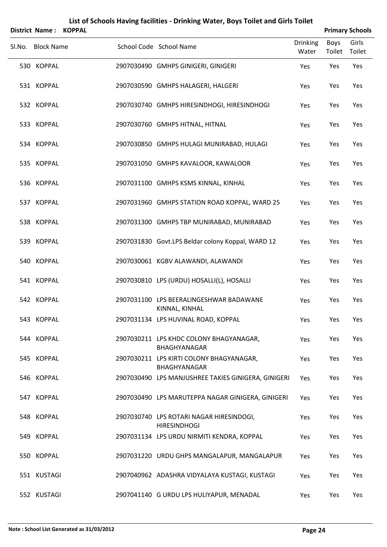|        | District Name:    | <b>KOPPAL</b> |                                                                 |                          |                | <b>Primary Schools</b> |
|--------|-------------------|---------------|-----------------------------------------------------------------|--------------------------|----------------|------------------------|
| Sl.No. | <b>Block Name</b> |               | School Code School Name                                         | <b>Drinking</b><br>Water | Boys<br>Toilet | Girls<br>Toilet        |
|        | 530 KOPPAL        |               | 2907030490 GMHPS GINIGERI, GINIGERI                             | Yes                      | Yes            | Yes                    |
|        | 531 KOPPAL        |               | 2907030590 GMHPS HALAGERI, HALGERI                              | Yes                      | Yes            | Yes                    |
|        | 532 KOPPAL        |               | 2907030740 GMHPS HIRESINDHOGI, HIRESINDHOGI                     | Yes                      | Yes            | Yes                    |
|        | 533 KOPPAL        |               | 2907030760 GMHPS HITNAL, HITNAL                                 | Yes                      | Yes            | Yes                    |
|        | 534 KOPPAL        |               | 2907030850 GMHPS HULAGI MUNIRABAD, HULAGI                       | Yes                      | Yes            | Yes                    |
|        | 535 KOPPAL        |               | 2907031050 GMHPS KAVALOOR, KAWALOOR                             | Yes                      | Yes            | Yes                    |
|        | 536 KOPPAL        |               | 2907031100 GMHPS KSMS KINNAL, KINHAL                            | Yes                      | Yes            | Yes                    |
|        | 537 KOPPAL        |               | 2907031960 GMHPS STATION ROAD KOPPAL, WARD 25                   | Yes                      | Yes            | Yes                    |
|        | 538 KOPPAL        |               | 2907031300 GMHPS TBP MUNIRABAD, MUNIRABAD                       | Yes                      | Yes            | Yes                    |
|        | 539 KOPPAL        |               | 2907031830 Govt.LPS Beldar colony Koppal, WARD 12               | Yes                      | Yes            | Yes                    |
|        | 540 KOPPAL        |               | 2907030061 KGBV ALAWANDI, ALAWANDI                              | Yes                      | Yes            | Yes                    |
|        | 541 KOPPAL        |               | 2907030810 LPS (URDU) HOSALLI(L), HOSALLI                       | Yes                      | Yes            | Yes                    |
|        | 542 KOPPAL        |               | 2907031100 LPS BEERALINGESHWAR BADAWANE<br>KINNAL, KINHAL       | Yes                      | Yes            | Yes                    |
|        | 543 KOPPAL        |               | 2907031134 LPS HUVINAL ROAD, KOPPAL                             | Yes                      | Yes            | Yes                    |
|        | 544 KOPPAL        |               | 2907030211 LPS KHDC COLONY BHAGYANAGAR,<br>BHAGHYANAGAR         | Yes                      | Yes            | Yes                    |
|        | 545 KOPPAL        |               | 2907030211 LPS KIRTI COLONY BHAGYANAGAR,<br>BHAGHYANAGAR        | Yes                      | Yes            | Yes                    |
|        | 546 KOPPAL        |               | 2907030490 LPS MANJUSHREE TAKIES GINIGERA, GINIGERI             | Yes                      | Yes            | Yes                    |
|        | 547 KOPPAL        |               | 2907030490 LPS MARUTEPPA NAGAR GINIGERA, GINIGERI               | Yes                      | Yes            | Yes                    |
|        | 548 KOPPAL        |               | 2907030740 LPS ROTARI NAGAR HIRESINDOGI,<br><b>HIRESINDHOGI</b> | Yes                      | Yes            | Yes                    |
|        | 549 KOPPAL        |               | 2907031134 LPS URDU NIRMITI KENDRA, KOPPAL                      | Yes                      | Yes            | Yes                    |
|        | 550 KOPPAL        |               | 2907031220 URDU GHPS MANGALAPUR, MANGALAPUR                     | Yes                      | Yes            | Yes                    |
|        | 551 KUSTAGI       |               | 2907040962 ADASHRA VIDYALAYA KUSTAGI, KUSTAGI                   | Yes                      | Yes            | Yes                    |
|        | 552 KUSTAGI       |               | 2907041140 G URDU LPS HULIYAPUR, MENADAL                        | Yes                      | Yes            | Yes                    |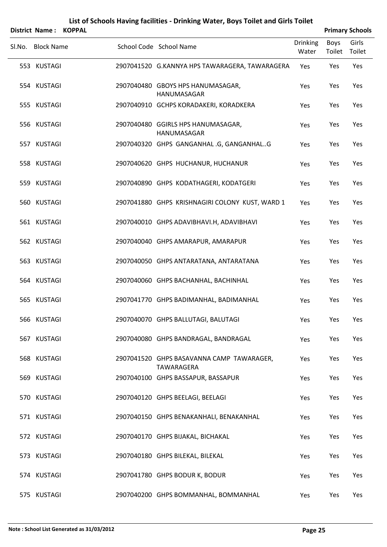|                   | District Name: KOPPAL |                                                                |                          |                | <b>Primary Schools</b> |
|-------------------|-----------------------|----------------------------------------------------------------|--------------------------|----------------|------------------------|
| Sl.No. Block Name |                       | School Code School Name                                        | <b>Drinking</b><br>Water | Boys<br>Toilet | Girls<br>Toilet        |
| 553 KUSTAGI       |                       | 2907041520 G.KANNYA HPS TAWARAGERA, TAWARAGERA                 | Yes                      | Yes            | Yes                    |
| 554 KUSTAGI       |                       | 2907040480 GBOYS HPS HANUMASAGAR,<br>HANUMASAGAR               | Yes                      | Yes            | Yes                    |
| 555 KUSTAGI       |                       | 2907040910 GCHPS KORADAKERI, KORADKERA                         | Yes                      | Yes            | Yes                    |
| 556 KUSTAGI       |                       | 2907040480 GGIRLS HPS HANUMASAGAR,<br>HANUMASAGAR              | Yes                      | Yes            | Yes                    |
| 557 KUSTAGI       |                       | 2907040320 GHPS GANGANHAL.G, GANGANHALG                        | Yes                      | Yes            | Yes                    |
| 558 KUSTAGI       |                       | 2907040620 GHPS HUCHANUR, HUCHANUR                             | Yes                      | Yes            | Yes                    |
| 559 KUSTAGI       |                       | 2907040890 GHPS KODATHAGERI, KODATGERI                         | Yes                      | Yes            | Yes                    |
| 560 KUSTAGI       |                       | 2907041880 GHPS KRISHNAGIRI COLONY KUST, WARD 1                | Yes                      | Yes            | Yes                    |
| 561 KUSTAGI       |                       | 2907040010 GHPS ADAVIBHAVI.H, ADAVIBHAVI                       | Yes                      | Yes            | Yes                    |
| 562 KUSTAGI       |                       | 2907040040 GHPS AMARAPUR, AMARAPUR                             | Yes                      | Yes            | Yes                    |
| 563 KUSTAGI       |                       | 2907040050 GHPS ANTARATANA, ANTARATANA                         | Yes                      | Yes            | Yes                    |
| 564 KUSTAGI       |                       | 2907040060 GHPS BACHANHAL, BACHINHAL                           | Yes                      | Yes            | Yes                    |
| 565 KUSTAGI       |                       | 2907041770 GHPS BADIMANHAL, BADIMANHAL                         | Yes                      | Yes            | Yes                    |
| 566 KUSTAGI       |                       | 2907040070 GHPS BALLUTAGI, BALUTAGI                            | Yes                      | Yes            | Yes                    |
| 567 KUSTAGI       |                       | 2907040080 GHPS BANDRAGAL, BANDRAGAL                           | Yes                      | Yes            | Yes                    |
| 568 KUSTAGI       |                       | 2907041520 GHPS BASAVANNA CAMP TAWARAGER,<br><b>TAWARAGERA</b> | Yes                      | Yes            | Yes                    |
| 569 KUSTAGI       |                       | 2907040100 GHPS BASSAPUR, BASSAPUR                             | Yes                      | Yes            | Yes                    |
| 570 KUSTAGI       |                       | 2907040120 GHPS BEELAGI, BEELAGI                               | Yes                      | Yes            | Yes                    |
| 571 KUSTAGI       |                       | 2907040150 GHPS BENAKANHALI, BENAKANHAL                        | Yes                      | Yes            | Yes                    |
| 572 KUSTAGI       |                       | 2907040170 GHPS BIJAKAL, BICHAKAL                              | Yes                      | Yes            | Yes                    |
| 573 KUSTAGI       |                       | 2907040180 GHPS BILEKAL, BILEKAL                               | Yes                      | Yes            | Yes                    |
| 574 KUSTAGI       |                       | 2907041780 GHPS BODUR K, BODUR                                 | Yes                      | Yes            | Yes                    |
| 575 KUSTAGI       |                       | 2907040200 GHPS BOMMANHAL, BOMMANHAL                           | Yes                      | Yes            | Yes                    |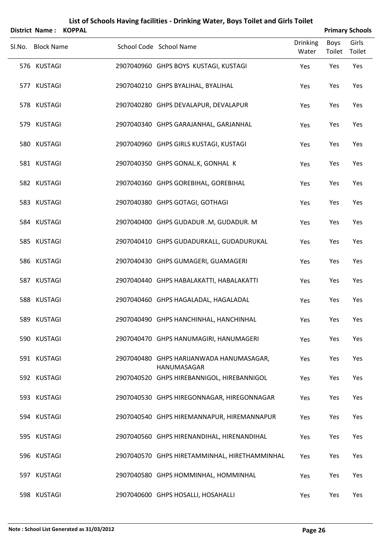|                   | District Name: KOPPAL |                                                         |                          |                | <b>Primary Schools</b> |
|-------------------|-----------------------|---------------------------------------------------------|--------------------------|----------------|------------------------|
| Sl.No. Block Name |                       | School Code School Name                                 | <b>Drinking</b><br>Water | Boys<br>Toilet | Girls<br>Toilet        |
| 576 KUSTAGI       |                       | 2907040960 GHPS BOYS KUSTAGI, KUSTAGI                   | Yes                      | Yes            | Yes                    |
| 577 KUSTAGI       |                       | 2907040210 GHPS BYALIHAL, BYALIHAL                      | Yes                      | Yes            | Yes                    |
| 578 KUSTAGI       |                       | 2907040280 GHPS DEVALAPUR, DEVALAPUR                    | Yes                      | Yes            | Yes                    |
| 579 KUSTAGI       |                       | 2907040340 GHPS GARAJANHAL, GARJANHAL                   | Yes                      | Yes            | Yes                    |
| 580 KUSTAGI       |                       | 2907040960 GHPS GIRLS KUSTAGI, KUSTAGI                  | Yes                      | Yes            | Yes                    |
| 581 KUSTAGI       |                       | 2907040350 GHPS GONAL.K, GONHAL K                       | Yes                      | Yes            | Yes                    |
| 582 KUSTAGI       |                       | 2907040360 GHPS GOREBIHAL, GOREBIHAL                    | Yes                      | Yes            | Yes                    |
| 583 KUSTAGI       |                       | 2907040380 GHPS GOTAGI, GOTHAGI                         | Yes                      | Yes            | Yes                    |
| 584 KUSTAGI       |                       | 2907040400 GHPS GUDADUR .M, GUDADUR. M                  | Yes                      | Yes            | Yes                    |
| 585 KUSTAGI       |                       | 2907040410 GHPS GUDADURKALL, GUDADURUKAL                | Yes                      | Yes            | Yes                    |
| 586 KUSTAGI       |                       | 2907040430 GHPS GUMAGERI, GUAMAGERI                     | Yes                      | Yes            | Yes                    |
| 587 KUSTAGI       |                       | 2907040440 GHPS HABALAKATTI, HABALAKATTI                | Yes                      | Yes            | Yes                    |
| 588 KUSTAGI       |                       | 2907040460 GHPS HAGALADAL, HAGALADAL                    | Yes                      | Yes            | Yes                    |
| 589 KUSTAGI       |                       | 2907040490 GHPS HANCHINHAL, HANCHINHAL                  | Yes                      | Yes            | Yes                    |
| 590 KUSTAGI       |                       | 2907040470 GHPS HANUMAGIRI, HANUMAGERI                  | Yes                      | Yes            | Yes                    |
| 591 KUSTAGI       |                       | 2907040480 GHPS HARIJANWADA HANUMASAGAR,<br>HANUMASAGAR | Yes                      | Yes            | Yes                    |
| 592 KUSTAGI       |                       | 2907040520 GHPS HIREBANNIGOL, HIREBANNIGOL              | Yes                      | Yes            | Yes                    |
| 593 KUSTAGI       |                       | 2907040530 GHPS HIREGONNAGAR, HIREGONNAGAR              | Yes                      | Yes            | Yes                    |
| 594 KUSTAGI       |                       | 2907040540 GHPS HIREMANNAPUR, HIREMANNAPUR              | Yes                      | Yes            | Yes                    |
| 595 KUSTAGI       |                       | 2907040560 GHPS HIRENANDIHAL, HIRENANDIHAL              | Yes                      | Yes            | Yes                    |
| 596 KUSTAGI       |                       | 2907040570 GHPS HIRETAMMINHAL, HIRETHAMMINHAL           | Yes                      | Yes            | Yes                    |
| 597 KUSTAGI       |                       | 2907040580 GHPS HOMMINHAL, HOMMINHAL                    | Yes                      | Yes            | Yes                    |
| 598 KUSTAGI       |                       | 2907040600 GHPS HOSALLI, HOSAHALLI                      | Yes                      | Yes            | Yes                    |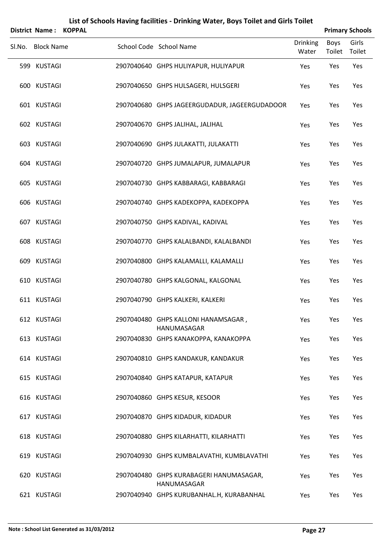| <b>District Name:</b> | <b>KOPPAL</b> |                                                        |                          |                | <b>Primary Schools</b> |
|-----------------------|---------------|--------------------------------------------------------|--------------------------|----------------|------------------------|
| Sl.No. Block Name     |               | School Code School Name                                | <b>Drinking</b><br>Water | Boys<br>Toilet | Girls<br>Toilet        |
| 599 KUSTAGI           |               | 2907040640 GHPS HULIYAPUR, HULIYAPUR                   | Yes                      | Yes            | Yes                    |
| 600 KUSTAGI           |               | 2907040650 GHPS HULSAGERI, HULSGERI                    | Yes                      | Yes            | Yes                    |
| 601 KUSTAGI           |               | 2907040680 GHPS JAGEERGUDADUR, JAGEERGUDADOOR          | Yes                      | Yes            | Yes                    |
| 602 KUSTAGI           |               | 2907040670 GHPS JALIHAL, JALIHAL                       | Yes                      | Yes            | Yes                    |
| 603 KUSTAGI           |               | 2907040690 GHPS JULAKATTI, JULAKATTI                   | Yes                      | Yes            | Yes                    |
| 604 KUSTAGI           |               | 2907040720 GHPS JUMALAPUR, JUMALAPUR                   | Yes                      | Yes            | Yes                    |
| 605 KUSTAGI           |               | 2907040730 GHPS KABBARAGI, KABBARAGI                   | Yes                      | Yes            | Yes                    |
| 606 KUSTAGI           |               | 2907040740 GHPS KADEKOPPA, KADEKOPPA                   | Yes                      | Yes            | Yes                    |
| 607 KUSTAGI           |               | 2907040750 GHPS KADIVAL, KADIVAL                       | Yes                      | Yes            | Yes                    |
| 608 KUSTAGI           |               | 2907040770 GHPS KALALBANDI, KALALBANDI                 | Yes                      | Yes            | Yes                    |
| 609 KUSTAGI           |               | 2907040800 GHPS KALAMALLI, KALAMALLI                   | Yes                      | Yes            | Yes                    |
| 610 KUSTAGI           |               | 2907040780 GHPS KALGONAL, KALGONAL                     | Yes                      | Yes            | Yes                    |
| 611 KUSTAGI           |               | 2907040790 GHPS KALKERI, KALKERI                       | Yes                      | Yes            | Yes                    |
| 612 KUSTAGI           |               | 2907040480 GHPS KALLONI HANAMSAGAR,<br>HANUMASAGAR     | Yes                      | Yes            | Yes                    |
| 613 KUSTAGI           |               | 2907040830 GHPS KANAKOPPA, KANAKOPPA                   | Yes                      | Yes            | Yes                    |
| 614 KUSTAGI           |               | 2907040810 GHPS KANDAKUR, KANDAKUR                     | Yes                      | Yes            | Yes                    |
| 615 KUSTAGI           |               | 2907040840 GHPS KATAPUR, KATAPUR                       | Yes                      | Yes            | Yes                    |
| 616 KUSTAGI           |               | 2907040860 GHPS KESUR, KESOOR                          | Yes                      | Yes            | Yes                    |
| 617 KUSTAGI           |               | 2907040870 GHPS KIDADUR, KIDADUR                       | Yes                      | Yes            | Yes                    |
| 618 KUSTAGI           |               | 2907040880 GHPS KILARHATTI, KILARHATTI                 | Yes                      | Yes            | Yes                    |
| 619 KUSTAGI           |               | 2907040930 GHPS KUMBALAVATHI, KUMBLAVATHI              | Yes                      | Yes            | Yes                    |
| 620 KUSTAGI           |               | 2907040480 GHPS KURABAGERI HANUMASAGAR,<br>HANUMASAGAR | Yes                      | Yes            | Yes                    |
| 621 KUSTAGI           |               | 2907040940 GHPS KURUBANHAL.H, KURABANHAL               | Yes                      | Yes            | Yes                    |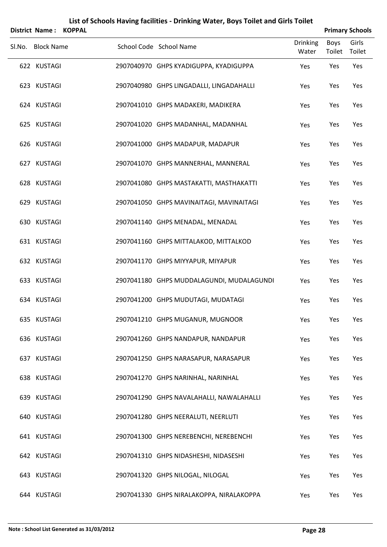|        | <b>District Name:</b> | <b>KOPPAL</b> |                                           |                          | <b>Primary Schools</b> |                 |
|--------|-----------------------|---------------|-------------------------------------------|--------------------------|------------------------|-----------------|
| SI.No. | <b>Block Name</b>     |               | School Code School Name                   | <b>Drinking</b><br>Water | Boys<br>Toilet         | Girls<br>Toilet |
|        | 622 KUSTAGI           |               | 2907040970 GHPS KYADIGUPPA, KYADIGUPPA    | Yes                      | Yes                    | Yes             |
|        | 623 KUSTAGI           |               | 2907040980 GHPS LINGADALLI, LINGADAHALLI  | Yes                      | Yes                    | Yes             |
|        | 624 KUSTAGI           |               | 2907041010 GHPS MADAKERI, MADIKERA        | Yes                      | Yes                    | Yes             |
|        | 625 KUSTAGI           |               | 2907041020 GHPS MADANHAL, MADANHAL        | Yes                      | Yes                    | Yes             |
|        | 626 KUSTAGI           |               | 2907041000 GHPS MADAPUR, MADAPUR          | Yes                      | Yes                    | Yes             |
|        | 627 KUSTAGI           |               | 2907041070 GHPS MANNERHAL, MANNERAL       | Yes                      | Yes                    | Yes             |
|        | 628 KUSTAGI           |               | 2907041080 GHPS MASTAKATTI, MASTHAKATTI   | Yes                      | Yes                    | Yes             |
|        | 629 KUSTAGI           |               | 2907041050 GHPS MAVINAITAGI, MAVINAITAGI  | Yes                      | Yes                    | Yes             |
|        | 630 KUSTAGI           |               | 2907041140 GHPS MENADAL, MENADAL          | Yes                      | Yes                    | Yes             |
|        | 631 KUSTAGI           |               | 2907041160 GHPS MITTALAKOD, MITTALKOD     | Yes                      | Yes                    | Yes             |
|        | 632 KUSTAGI           |               | 2907041170 GHPS MIYYAPUR, MIYAPUR         | Yes                      | Yes                    | Yes             |
|        | 633 KUSTAGI           |               | 2907041180 GHPS MUDDALAGUNDI, MUDALAGUNDI | Yes                      | Yes                    | Yes             |
|        | 634 KUSTAGI           |               | 2907041200 GHPS MUDUTAGI, MUDATAGI        | Yes                      | Yes                    | Yes             |
|        | 635 KUSTAGI           |               | 2907041210 GHPS MUGANUR, MUGNOOR          | Yes                      | Yes                    | Yes             |
|        | 636 KUSTAGI           |               | 2907041260 GHPS NANDAPUR, NANDAPUR        | Yes                      | Yes                    | Yes             |
|        | 637 KUSTAGI           |               | 2907041250 GHPS NARASAPUR, NARASAPUR      | Yes                      | Yes                    | Yes             |
|        | 638 KUSTAGI           |               | 2907041270 GHPS NARINHAL, NARINHAL        | Yes                      | Yes                    | Yes             |
|        | 639 KUSTAGI           |               | 2907041290 GHPS NAVALAHALLI, NAWALAHALLI  | Yes                      | Yes                    | Yes             |
|        | 640 KUSTAGI           |               | 2907041280 GHPS NEERALUTI, NEERLUTI       | Yes                      | Yes                    | Yes             |
|        | 641 KUSTAGI           |               | 2907041300 GHPS NEREBENCHI, NEREBENCHI    | Yes                      | Yes                    | Yes             |
|        | 642 KUSTAGI           |               | 2907041310 GHPS NIDASHESHI, NIDASESHI     | Yes                      | Yes                    | Yes             |
|        | 643 KUSTAGI           |               | 2907041320 GHPS NILOGAL, NILOGAL          | Yes                      | Yes                    | Yes             |
|        | 644 KUSTAGI           |               | 2907041330 GHPS NIRALAKOPPA, NIRALAKOPPA  | Yes                      | Yes                    | Yes             |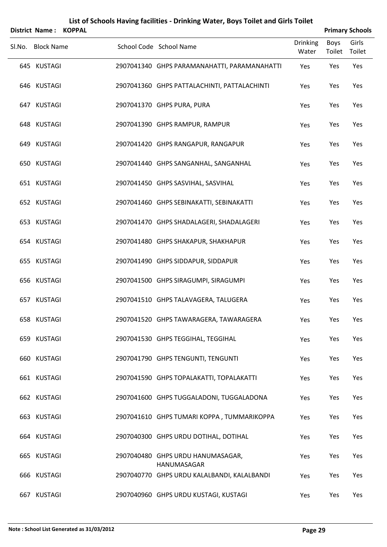|        | <b>District Name:</b> | <b>KOPPAL</b> |                                                  |                          |                | <b>Primary Schools</b> |
|--------|-----------------------|---------------|--------------------------------------------------|--------------------------|----------------|------------------------|
| SI.No. | <b>Block Name</b>     |               | School Code School Name                          | <b>Drinking</b><br>Water | Boys<br>Toilet | Girls<br>Toilet        |
|        | 645 KUSTAGI           |               | 2907041340 GHPS PARAMANAHATTI, PARAMANAHATTI     | Yes                      | Yes            | Yes                    |
|        | 646 KUSTAGI           |               | 2907041360 GHPS PATTALACHINTI, PATTALACHINTI     | Yes                      | Yes            | Yes                    |
|        | 647 KUSTAGI           |               | 2907041370 GHPS PURA, PURA                       | Yes                      | Yes            | Yes                    |
|        | 648 KUSTAGI           |               | 2907041390 GHPS RAMPUR, RAMPUR                   | Yes                      | Yes            | Yes                    |
|        | 649 KUSTAGI           |               | 2907041420 GHPS RANGAPUR, RANGAPUR               | Yes                      | Yes            | Yes                    |
|        | 650 KUSTAGI           |               | 2907041440 GHPS SANGANHAL, SANGANHAL             | Yes                      | Yes            | Yes                    |
|        | 651 KUSTAGI           |               | 2907041450 GHPS SASVIHAL, SASVIHAL               | Yes                      | Yes            | Yes                    |
|        | 652 KUSTAGI           |               | 2907041460 GHPS SEBINAKATTI, SEBINAKATTI         | Yes                      | Yes            | Yes                    |
|        | 653 KUSTAGI           |               | 2907041470 GHPS SHADALAGERI, SHADALAGERI         | Yes                      | Yes            | Yes                    |
|        | 654 KUSTAGI           |               | 2907041480 GHPS SHAKAPUR, SHAKHAPUR              | Yes                      | Yes            | Yes                    |
|        | 655 KUSTAGI           |               | 2907041490 GHPS SIDDAPUR, SIDDAPUR               | Yes                      | Yes            | Yes                    |
|        | 656 KUSTAGI           |               | 2907041500 GHPS SIRAGUMPI, SIRAGUMPI             | Yes                      | Yes            | Yes                    |
|        | 657 KUSTAGI           |               | 2907041510 GHPS TALAVAGERA, TALUGERA             | Yes                      | Yes            | Yes                    |
|        | 658 KUSTAGI           |               | 2907041520 GHPS TAWARAGERA, TAWARAGERA           | Yes                      | Yes            | Yes                    |
|        | 659 KUSTAGI           |               | 2907041530 GHPS TEGGIHAL, TEGGIHAL               | Yes                      | Yes            | Yes                    |
|        | 660 KUSTAGI           |               | 2907041790 GHPS TENGUNTI, TENGUNTI               | Yes                      | Yes            | Yes                    |
|        | 661 KUSTAGI           |               | 2907041590 GHPS TOPALAKATTI, TOPALAKATTI         | Yes                      | Yes            | Yes                    |
|        | 662 KUSTAGI           |               | 2907041600 GHPS TUGGALADONI, TUGGALADONA         | Yes                      | Yes            | Yes                    |
|        | 663 KUSTAGI           |               | 2907041610 GHPS TUMARI KOPPA, TUMMARIKOPPA       | Yes                      | Yes            | Yes                    |
|        | 664 KUSTAGI           |               | 2907040300 GHPS URDU DOTIHAL, DOTIHAL            | Yes                      | Yes            | Yes                    |
|        | 665 KUSTAGI           |               | 2907040480 GHPS URDU HANUMASAGAR,<br>HANUMASAGAR | Yes                      | Yes            | Yes                    |
|        | 666 KUSTAGI           |               | 2907040770 GHPS URDU KALALBANDI, KALALBANDI      | Yes                      | Yes            | Yes                    |
|        | 667 KUSTAGI           |               | 2907040960 GHPS URDU KUSTAGI, KUSTAGI            | Yes                      | Yes            | Yes                    |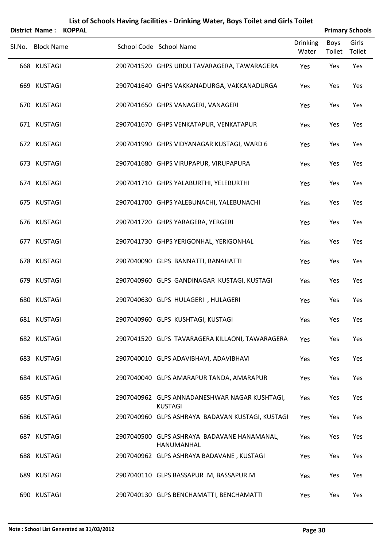| District Name: KOPPAL |  |                                                                 |                          |                       | <b>Primary Schools</b> |
|-----------------------|--|-----------------------------------------------------------------|--------------------------|-----------------------|------------------------|
| Sl.No. Block Name     |  | School Code School Name                                         | <b>Drinking</b><br>Water | <b>Boys</b><br>Toilet | Girls<br>Toilet        |
| 668 KUSTAGI           |  | 2907041520 GHPS URDU TAVARAGERA, TAWARAGERA                     | Yes                      | Yes                   | Yes                    |
| 669 KUSTAGI           |  | 2907041640 GHPS VAKKANADURGA, VAKKANADURGA                      | Yes                      | Yes                   | Yes                    |
| 670 KUSTAGI           |  | 2907041650 GHPS VANAGERI, VANAGERI                              | Yes                      | Yes                   | Yes                    |
| 671 KUSTAGI           |  | 2907041670 GHPS VENKATAPUR, VENKATAPUR                          | Yes                      | Yes                   | Yes                    |
| 672 KUSTAGI           |  | 2907041990 GHPS VIDYANAGAR KUSTAGI, WARD 6                      | Yes                      | Yes                   | Yes                    |
| 673 KUSTAGI           |  | 2907041680 GHPS VIRUPAPUR, VIRUPAPURA                           | Yes                      | Yes                   | Yes                    |
| 674 KUSTAGI           |  | 2907041710 GHPS YALABURTHI, YELEBURTHI                          | Yes                      | Yes                   | Yes                    |
| 675 KUSTAGI           |  | 2907041700 GHPS YALEBUNACHI, YALEBUNACHI                        | Yes                      | Yes                   | Yes                    |
| 676 KUSTAGI           |  | 2907041720 GHPS YARAGERA, YERGERI                               | Yes                      | Yes                   | Yes                    |
| 677 KUSTAGI           |  | 2907041730 GHPS YERIGONHAL, YERIGONHAL                          | Yes                      | Yes                   | Yes                    |
| 678 KUSTAGI           |  | 2907040090 GLPS BANNATTI, BANAHATTI                             | Yes                      | Yes                   | Yes                    |
| 679 KUSTAGI           |  | 2907040960 GLPS GANDINAGAR KUSTAGI, KUSTAGI                     | Yes                      | Yes                   | Yes                    |
| 680 KUSTAGI           |  | 2907040630 GLPS HULAGERI, HULAGERI                              | Yes                      | Yes                   | Yes                    |
| 681 KUSTAGI           |  | 2907040960 GLPS KUSHTAGI, KUSTAGI                               | Yes                      | Yes                   | Yes                    |
| 682 KUSTAGI           |  | 2907041520 GLPS TAVARAGERA KILLAONI, TAWARAGERA                 | Yes                      | Yes                   | Yes                    |
| 683 KUSTAGI           |  | 2907040010 GLPS ADAVIBHAVI, ADAVIBHAVI                          | Yes                      | Yes                   | Yes                    |
| 684 KUSTAGI           |  | 2907040040 GLPS AMARAPUR TANDA, AMARAPUR                        | Yes                      | Yes                   | Yes                    |
| 685 KUSTAGI           |  | 2907040962 GLPS ANNADANESHWAR NAGAR KUSHTAGI,<br><b>KUSTAGI</b> | Yes                      | Yes                   | Yes                    |
| 686 KUSTAGI           |  | 2907040960 GLPS ASHRAYA BADAVAN KUSTAGI, KUSTAGI                | Yes                      | Yes                   | Yes                    |
| 687 KUSTAGI           |  | 2907040500 GLPS ASHRAYA BADAVANE HANAMANAL,<br>HANUMANHAL       | Yes                      | Yes                   | Yes                    |
| 688 KUSTAGI           |  | 2907040962 GLPS ASHRAYA BADAVANE, KUSTAGI                       | Yes                      | Yes                   | Yes                    |
| 689 KUSTAGI           |  | 2907040110 GLPS BASSAPUR .M, BASSAPUR.M                         | Yes                      | Yes                   | Yes                    |
| 690 KUSTAGI           |  | 2907040130 GLPS BENCHAMATTI, BENCHAMATTI                        | Yes                      | Yes                   | Yes                    |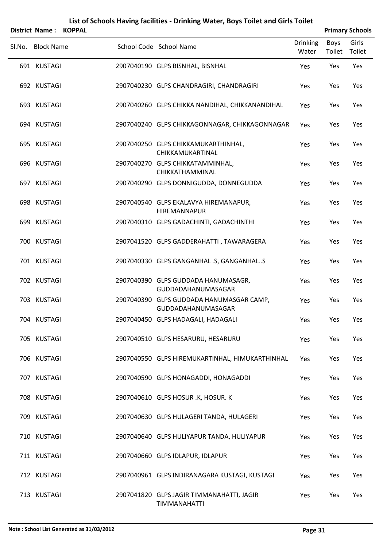# SLNo. Block Name School Code School Name Drinking Water Boys Toilet Girls Toilet **District Name : KOPPAL Primary Schools** KUSTAGI 2907040190 GLPS BISNHAL, BISNHAL Yes Yes Yes KUSTAGI 2907040230 GLPS CHANDRAGIRI, CHANDRAGIRI Yes Yes Yes KUSTAGI 2907040260 GLPS CHIKKA NANDIHAL, CHIKKANANDIHAL Yes Yes Yes KUSTAGI 2907040240 GLPS CHIKKAGONNAGAR, CHIKKAGONNAGAR Yes Yes Yes KUSTAGI 2907040250 GLPS CHIKKAMUKARTHINHAL, Yes Yes Yes CHIKKAMUKARTINAL KUSTAGI 2907040270 GLPS CHIKKATAMMINHAL, Yes Yes Yes CHIKKATHAMMINAL KUSTAGI 2907040290 GLPS DONNIGUDDA, DONNEGUDDA Yes Yes Yes KUSTAGI 2907040540 GLPS EKALAVYA HIREMANAPUR, Yes Yes Yes HIREMANNAPUR KUSTAGI 2907040310 GLPS GADACHINTI, GADACHINTHI Yes Yes Yes KUSTAGI 2907041520 GLPS GADDERAHATTI , TAWARAGERA Yes Yes Yes KUSTAGI 2907040330 GLPS GANGANHAL .S, GANGANHAL..S Yes Yes Yes KUSTAGI 2907040390 GLPS GUDDADA HANUMASAGR, Yes Yes Yes GUDDADAHANUMASAGAR KUSTAGI 2907040390 GLPS GUDDADA HANUMASGAR CAMP, Yes Yes Yes GUDDADAHANUMASAGAR KUSTAGI 2907040450 GLPS HADAGALI, HADAGALI Yes Yes Yes KUSTAGI 2907040510 GLPS HESARURU, HESARURU Yes Yes Yes KUSTAGI 2907040550 GLPS HIREMUKARTINHAL, HIMUKARTHINHAL Yes Yes Yes KUSTAGI 2907040590 GLPS HONAGADDI, HONAGADDI Yes Yes Yes KUSTAGI 2907040610 GLPS HOSUR .K, HOSUR. K Yes Yes Yes KUSTAGI 2907040630 GLPS HULAGERI TANDA, HULAGERI Yes Yes Yes KUSTAGI 2907040640 GLPS HULIYAPUR TANDA, HULIYAPUR Yes Yes Yes

KUSTAGI 2907040660 GLPS IDLAPUR, IDLAPUR Yes Yes Yes

KUSTAGI 2907040961 GLPS INDIRANAGARA KUSTAGI, KUSTAGI Yes Yes Yes

KUSTAGI 2907041820 GLPS JAGIR TIMMANAHATTI, JAGIR Yes Yes Yes TIMMANAHATTI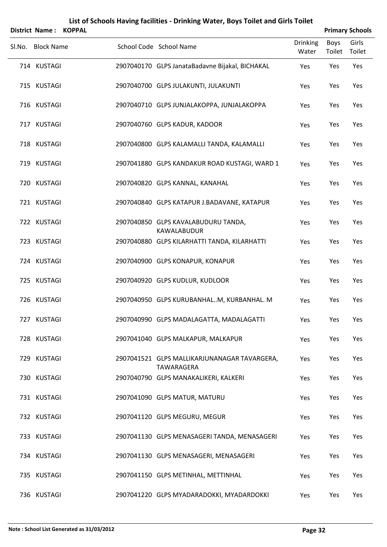|        | <b>District Name:</b> | <b>KOPPAL</b> |                                                                   |                          |                | <b>Primary Schools</b> |
|--------|-----------------------|---------------|-------------------------------------------------------------------|--------------------------|----------------|------------------------|
| SI.No. | <b>Block Name</b>     |               | School Code School Name                                           | <b>Drinking</b><br>Water | Boys<br>Toilet | Girls<br>Toilet        |
|        | 714 KUSTAGI           |               | 2907040170 GLPS JanataBadavne Bijakal, BICHAKAL                   | Yes                      | Yes            | Yes                    |
|        | 715 KUSTAGI           |               | 2907040700 GLPS JULAKUNTI, JULAKUNTI                              | Yes                      | Yes            | Yes                    |
|        | 716 KUSTAGI           |               | 2907040710 GLPS JUNJALAKOPPA, JUNJALAKOPPA                        | Yes                      | Yes            | Yes                    |
|        | 717 KUSTAGI           |               | 2907040760 GLPS KADUR, KADOOR                                     | Yes                      | Yes            | Yes                    |
|        | 718 KUSTAGI           |               | 2907040800 GLPS KALAMALLI TANDA, KALAMALLI                        | Yes                      | Yes            | Yes                    |
|        | 719 KUSTAGI           |               | 2907041880 GLPS KANDAKUR ROAD KUSTAGI, WARD 1                     | Yes                      | Yes            | Yes                    |
|        | 720 KUSTAGI           |               | 2907040820 GLPS KANNAL, KANAHAL                                   | Yes                      | Yes            | Yes                    |
|        | 721 KUSTAGI           |               | 2907040840 GLPS KATAPUR J.BADAVANE, KATAPUR                       | Yes                      | Yes            | Yes                    |
|        | 722 KUSTAGI           |               | 2907040850 GLPS KAVALABUDURU TANDA,<br>KAWALABUDUR                | Yes                      | Yes            | Yes                    |
|        | 723 KUSTAGI           |               | 2907040880 GLPS KILARHATTI TANDA, KILARHATTI                      | Yes                      | Yes            | Yes                    |
|        | 724 KUSTAGI           |               | 2907040900 GLPS KONAPUR, KONAPUR                                  | Yes                      | Yes            | Yes                    |
|        | 725 KUSTAGI           |               | 2907040920 GLPS KUDLUR, KUDLOOR                                   | Yes                      | Yes            | Yes                    |
|        | 726 KUSTAGI           |               | 2907040950 GLPS KURUBANHALM, KURBANHAL. M                         | Yes                      | Yes            | Yes                    |
|        | 727 KUSTAGI           |               | 2907040990 GLPS MADALAGATTA, MADALAGATTI                          | Yes                      | Yes            | Yes                    |
|        | 728 KUSTAGI           |               | 2907041040 GLPS MALKAPUR, MALKAPUR                                | Yes                      | Yes            | Yes                    |
|        | 729 KUSTAGI           |               | 2907041521 GLPS MALLIKARJUNANAGAR TAVARGERA,<br><b>TAWARAGERA</b> | Yes                      | Yes            | Yes                    |
|        | 730 KUSTAGI           |               | 2907040790 GLPS MANAKALIKERI, KALKERI                             | Yes                      | Yes            | Yes                    |
|        | 731 KUSTAGI           |               | 2907041090 GLPS MATUR, MATURU                                     | Yes                      | Yes            | Yes                    |
|        | 732 KUSTAGI           |               | 2907041120 GLPS MEGURU, MEGUR                                     | Yes                      | Yes            | Yes                    |
|        | 733 KUSTAGI           |               | 2907041130 GLPS MENASAGERI TANDA, MENASAGERI                      | Yes                      | Yes            | Yes                    |
|        | 734 KUSTAGI           |               | 2907041130 GLPS MENASAGERI, MENASAGERI                            | Yes                      | Yes            | Yes                    |
|        | 735 KUSTAGI           |               | 2907041150 GLPS METINHAL, METTINHAL                               | Yes                      | Yes            | Yes                    |
|        | 736 KUSTAGI           |               | 2907041220 GLPS MYADARADOKKI, MYADARDOKKI                         | Yes                      | Yes            | Yes                    |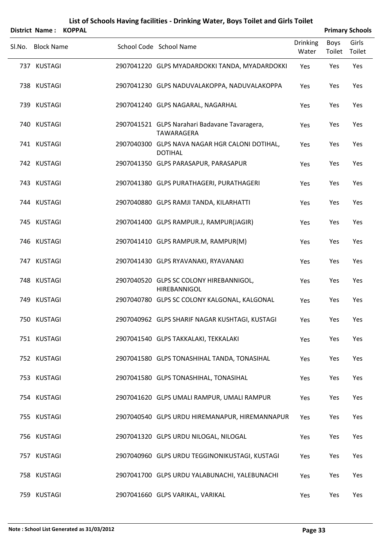|        | District Name: KOPPAL |                                                                  |                          |                | <b>Primary Schools</b> |
|--------|-----------------------|------------------------------------------------------------------|--------------------------|----------------|------------------------|
| SI.No. | <b>Block Name</b>     | School Code School Name                                          | <b>Drinking</b><br>Water | Boys<br>Toilet | Girls<br>Toilet        |
|        | 737 KUSTAGI           | 2907041220 GLPS MYADARDOKKI TANDA, MYADARDOKKI                   | Yes                      | Yes            | Yes                    |
|        | 738 KUSTAGI           | 2907041230 GLPS NADUVALAKOPPA, NADUVALAKOPPA                     | Yes                      | Yes            | Yes                    |
|        | 739 KUSTAGI           | 2907041240 GLPS NAGARAL, NAGARHAL                                | Yes                      | Yes            | Yes                    |
|        | 740 KUSTAGI           | 2907041521 GLPS Narahari Badavane Tavaragera,<br>TAWARAGERA      | Yes                      | Yes            | Yes                    |
|        | 741 KUSTAGI           | 2907040300 GLPS NAVA NAGAR HGR CALONI DOTIHAL,<br><b>DOTIHAL</b> | Yes                      | Yes            | Yes                    |
|        | 742 KUSTAGI           | 2907041350 GLPS PARASAPUR, PARASAPUR                             | Yes                      | Yes            | Yes                    |
|        | 743 KUSTAGI           | 2907041380 GLPS PURATHAGERI, PURATHAGERI                         | Yes                      | Yes            | Yes                    |
|        | 744 KUSTAGI           | 2907040880 GLPS RAMJI TANDA, KILARHATTI                          | Yes                      | Yes            | Yes                    |
|        | 745 KUSTAGI           | 2907041400 GLPS RAMPUR.J, RAMPUR(JAGIR)                          | Yes                      | Yes            | Yes                    |
|        | 746 KUSTAGI           | 2907041410 GLPS RAMPUR.M, RAMPUR(M)                              | Yes                      | Yes            | Yes                    |
|        | 747 KUSTAGI           | 2907041430 GLPS RYAVANAKI, RYAVANAKI                             | Yes                      | Yes            | Yes                    |
|        | 748 KUSTAGI           | 2907040520 GLPS SC COLONY HIREBANNIGOL,<br>HIREBANNIGOL          | Yes                      | Yes            | Yes                    |
|        | 749 KUSTAGI           | 2907040780 GLPS SC COLONY KALGONAL, KALGONAL                     | Yes                      | Yes            | Yes                    |
|        | 750 KUSTAGI           | 2907040962 GLPS SHARIF NAGAR KUSHTAGI, KUSTAGI                   | Yes                      | Yes            | Yes                    |
|        | 751 KUSTAGI           | 2907041540 GLPS TAKKALAKI, TEKKALAKI                             | Yes                      | Yes            | Yes                    |
|        | 752 KUSTAGI           | 2907041580 GLPS TONASHIHAL TANDA, TONASIHAL                      | Yes                      | Yes            | Yes                    |
|        | 753 KUSTAGI           | 2907041580 GLPS TONASHIHAL, TONASIHAL                            | Yes                      | Yes            | Yes                    |
|        | 754 KUSTAGI           | 2907041620 GLPS UMALI RAMPUR, UMALI RAMPUR                       | Yes                      | Yes            | Yes                    |
|        | 755 KUSTAGI           | 2907040540 GLPS URDU HIREMANAPUR, HIREMANNAPUR                   | Yes                      | Yes            | Yes                    |
|        | 756 KUSTAGI           | 2907041320 GLPS URDU NILOGAL, NILOGAL                            | Yes                      | Yes            | Yes                    |
|        | 757 KUSTAGI           | 2907040960 GLPS URDU TEGGINONIKUSTAGI, KUSTAGI                   | Yes                      | Yes            | Yes                    |
|        | 758 KUSTAGI           | 2907041700 GLPS URDU YALABUNACHI, YALEBUNACHI                    | Yes                      | Yes            | Yes                    |
|        | 759 KUSTAGI           | 2907041660 GLPS VARIKAL, VARIKAL                                 | Yes                      | Yes            | Yes                    |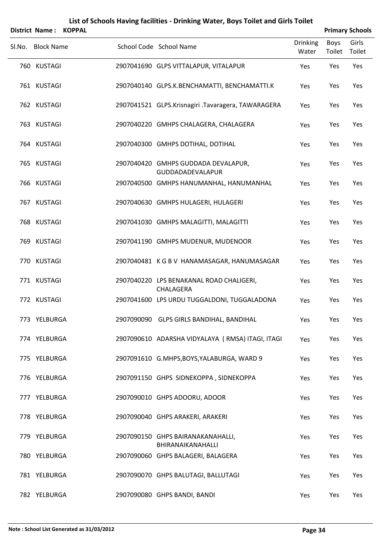|                       | List of Schools Having facilities - Drinking Water, Boys Toilet and Girls Toilet |                        |
|-----------------------|----------------------------------------------------------------------------------|------------------------|
| District Name: KOPPAL |                                                                                  | <b>Primary Schools</b> |

| <b>DISLIILL INGIIIE.</b><br><b>INVEFAL</b> |                                                                |                          |                | <b>Fillial y Scribbis</b> |
|--------------------------------------------|----------------------------------------------------------------|--------------------------|----------------|---------------------------|
| Sl.No. Block Name                          | School Code School Name                                        | <b>Drinking</b><br>Water | Boys<br>Toilet | Girls<br>Toilet           |
| 760 KUSTAGI                                | 2907041690 GLPS VITTALAPUR, VITALAPUR                          | Yes                      | Yes            | Yes                       |
| 761 KUSTAGI                                | 2907040140 GLPS.K.BENCHAMATTI, BENCHAMATTI.K                   | Yes                      | Yes            | Yes                       |
| 762 KUSTAGI                                | 2907041521 GLPS.Krisnagiri .Tavaragera, TAWARAGERA             | Yes                      | Yes            | Yes                       |
| 763 KUSTAGI                                | 2907040220 GMHPS CHALAGERA, CHALAGERA                          | Yes                      | Yes            | Yes                       |
| 764 KUSTAGI                                | 2907040300 GMHPS DOTIHAL, DOTIHAL                              | Yes                      | Yes            | Yes                       |
| 765 KUSTAGI                                | 2907040420 GMHPS GUDDADA DEVALAPUR,<br><b>GUDDADADEVALAPUR</b> | Yes                      | Yes            | Yes                       |
| 766 KUSTAGI                                | 2907040500 GMHPS HANUMANHAL, HANUMANHAL                        | Yes                      | Yes            | Yes                       |
| 767 KUSTAGI                                | 2907040630 GMHPS HULAGERI, HULAGERI                            | Yes                      | Yes            | Yes                       |
| 768 KUSTAGI                                | 2907041030 GMHPS MALAGITTI, MALAGITTI                          | Yes                      | Yes            | Yes                       |
| 769 KUSTAGI                                | 2907041190 GMHPS MUDENUR, MUDENOOR                             | Yes                      | Yes            | Yes                       |
| 770 KUSTAGI                                | 2907040481 KGBV HANAMASAGAR, HANUMASAGAR                       | Yes                      | Yes            | Yes                       |
| 771 KUSTAGI                                | 2907040220 LPS BENAKANAL ROAD CHALIGERI,<br>CHALAGERA          | Yes                      | Yes            | Yes                       |
| 772 KUSTAGI                                | 2907041600 LPS URDU TUGGALDONI, TUGGALADONA                    | Yes                      | Yes            | Yes                       |
| 773 YELBURGA                               | 2907090090 GLPS GIRLS BANDIHAL, BANDIHAL                       | Yes                      | Yes            | Yes                       |
| 774 YELBURGA                               | 2907090610 ADARSHA VIDYALAYA (RMSA) ITAGI, ITAGI               | Yes                      | Yes            | Yes                       |
| 775 YELBURGA                               | 2907091610 G.MHPS, BOYS, YALABURGA, WARD 9                     | Yes                      | Yes            | Yes                       |
| 776 YELBURGA                               | 2907091150 GHPS SIDNEKOPPA, SIDNEKOPPA                         | Yes                      | Yes            | Yes                       |
| 777 YELBURGA                               | 2907090010 GHPS ADOORU, ADOOR                                  | Yes                      | Yes            | Yes                       |
| 778 YELBURGA                               | 2907090040 GHPS ARAKERI, ARAKERI                               | Yes                      | Yes            | Yes                       |
| 779 YELBURGA                               | 2907090150 GHPS BAIRANAKANAHALLI,<br>BHIRANAIKANAHALLI         | Yes                      | Yes            | Yes                       |
| 780 YELBURGA                               | 2907090060 GHPS BALAGERI, BALAGERA                             | Yes                      | Yes            | Yes                       |
| 781 YELBURGA                               | 2907090070 GHPS BALUTAGI, BALLUTAGI                            | Yes                      | Yes            | Yes                       |
| 782 YELBURGA                               | 2907090080 GHPS BANDI, BANDI                                   | Yes                      | Yes            | Yes                       |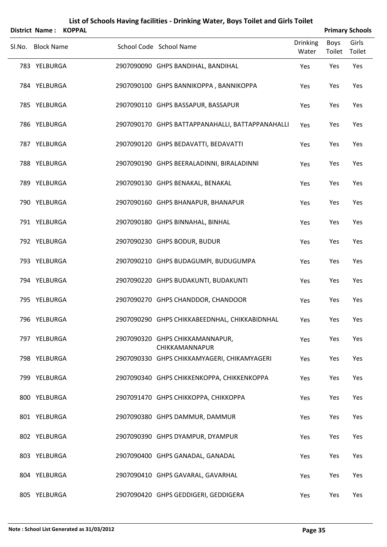| District Name: KOPPAL |  |                                                   |                          |                | <b>Primary Schools</b> |
|-----------------------|--|---------------------------------------------------|--------------------------|----------------|------------------------|
| Sl.No. Block Name     |  | School Code School Name                           | <b>Drinking</b><br>Water | Boys<br>Toilet | Girls<br>Toilet        |
| 783 YELBURGA          |  | 2907090090 GHPS BANDIHAL, BANDIHAL                | Yes                      | Yes            | Yes                    |
| 784 YELBURGA          |  | 2907090100 GHPS BANNIKOPPA, BANNIKOPPA            | Yes                      | Yes            | Yes                    |
| 785 YELBURGA          |  | 2907090110 GHPS BASSAPUR, BASSAPUR                | Yes                      | Yes            | Yes                    |
| 786 YELBURGA          |  | 2907090170 GHPS BATTAPPANAHALLI, BATTAPPANAHALLI  | Yes                      | Yes            | Yes                    |
| 787 YELBURGA          |  | 2907090120 GHPS BEDAVATTI, BEDAVATTI              | Yes                      | Yes            | Yes                    |
| 788 YELBURGA          |  | 2907090190 GHPS BEERALADINNI, BIRALADINNI         | Yes                      | Yes            | Yes                    |
| 789 YELBURGA          |  | 2907090130 GHPS BENAKAL, BENAKAL                  | Yes                      | Yes            | Yes                    |
| 790 YELBURGA          |  | 2907090160 GHPS BHANAPUR, BHANAPUR                | Yes                      | Yes            | Yes                    |
| 791 YELBURGA          |  | 2907090180 GHPS BINNAHAL, BINHAL                  | Yes                      | Yes            | Yes                    |
| 792 YELBURGA          |  | 2907090230 GHPS BODUR, BUDUR                      | Yes                      | Yes            | Yes                    |
| 793 YELBURGA          |  | 2907090210 GHPS BUDAGUMPI, BUDUGUMPA              | Yes                      | Yes            | Yes                    |
| 794 YELBURGA          |  | 2907090220 GHPS BUDAKUNTI, BUDAKUNTI              | Yes                      | Yes            | Yes                    |
| 795 YELBURGA          |  | 2907090270 GHPS CHANDDOR, CHANDOOR                | Yes                      | Yes            | Yes                    |
| 796 YELBURGA          |  | 2907090290 GHPS CHIKKABEEDNHAL, CHIKKABIDNHAL     | Yes                      | Yes            | Yes                    |
| 797 YELBURGA          |  | 2907090320 GHPS CHIKKAMANNAPUR,<br>CHIKKAMANNAPUR | Yes                      | Yes            | Yes                    |
| 798 YELBURGA          |  | 2907090330 GHPS CHIKKAMYAGERI, CHIKAMYAGERI       | Yes                      | Yes            | Yes                    |
| 799 YELBURGA          |  | 2907090340 GHPS CHIKKENKOPPA, CHIKKENKOPPA        | Yes                      | Yes            | Yes                    |
| 800 YELBURGA          |  | 2907091470 GHPS CHIKKOPPA, CHIKKOPPA              | Yes                      | Yes            | Yes                    |
| 801 YELBURGA          |  | 2907090380 GHPS DAMMUR, DAMMUR                    | Yes                      | Yes            | Yes                    |
| 802 YELBURGA          |  | 2907090390 GHPS DYAMPUR, DYAMPUR                  | Yes                      | Yes            | Yes                    |
| 803 YELBURGA          |  | 2907090400 GHPS GANADAL, GANADAL                  | Yes                      | Yes            | Yes                    |
| 804 YELBURGA          |  | 2907090410 GHPS GAVARAL, GAVARHAL                 | Yes                      | Yes            | Yes                    |
| 805 YELBURGA          |  | 2907090420 GHPS GEDDIGERI, GEDDIGERA              | Yes                      | Yes            | Yes                    |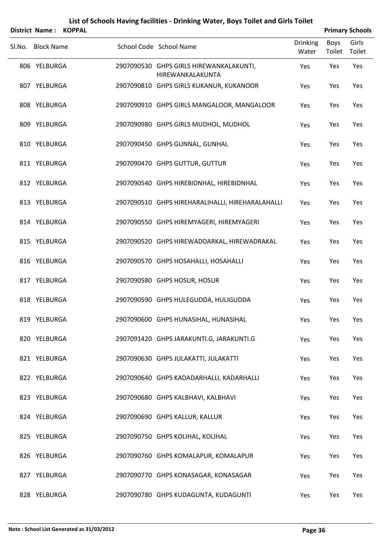|        | <b>District Name:</b> | <b>KOPPAL</b> |                                                             |                          |                | <b>Primary Schools</b> |
|--------|-----------------------|---------------|-------------------------------------------------------------|--------------------------|----------------|------------------------|
| SI.No. | <b>Block Name</b>     |               | School Code School Name                                     | <b>Drinking</b><br>Water | Boys<br>Toilet | Girls<br>Toilet        |
|        | 806 YELBURGA          |               | 2907090530 GHPS GIRLS HIREWANKALAKUNTI,<br>HIREWANKALAKUNTA | Yes                      | Yes            | Yes                    |
|        | 807 YELBURGA          |               | 2907090810 GHPS GIRLS KUKANUR, KUKANOOR                     | Yes                      | Yes            | Yes                    |
|        | 808 YELBURGA          |               | 2907090910 GHPS GIRLS MANGALOOR, MANGALOOR                  | Yes                      | Yes            | Yes                    |
|        | 809 YELBURGA          |               | 2907090980 GHPS GIRLS MUDHOL, MUDHOL                        | Yes                      | Yes            | Yes                    |
|        | 810 YELBURGA          |               | 2907090450 GHPS GUNNAL, GUNHAL                              | Yes                      | Yes            | Yes                    |
|        | 811 YELBURGA          |               | 2907090470 GHPS GUTTUR, GUTTUR                              | Yes                      | Yes            | Yes                    |
|        | 812 YELBURGA          |               | 2907090540 GHPS HIREBIDNHAL, HIREBIDNHAL                    | Yes                      | Yes            | Yes                    |
|        | 813 YELBURGA          |               | 2907090510 GHPS HIREHARALIHALLI, HIREHARALAHALLI            | Yes                      | Yes            | Yes                    |
|        | 814 YELBURGA          |               | 2907090550 GHPS HIREMYAGERI, HIREMYAGERI                    | Yes                      | Yes            | Yes                    |
|        | 815 YELBURGA          |               | 2907090520 GHPS HIREWADDARKAL, HIREWADRAKAL                 | Yes                      | Yes            | Yes                    |
|        | 816 YELBURGA          |               | 2907090570 GHPS HOSAHALLI, HOSAHALLI                        | Yes                      | Yes            | Yes                    |
|        | 817 YELBURGA          |               | 2907090580 GHPS HOSUR, HOSUR                                | Yes                      | Yes            | Yes                    |
|        | 818 YELBURGA          |               | 2907090590 GHPS HULEGUDDA, HULIGUDDA                        | Yes                      | Yes            | Yes                    |
|        | 819 YELBURGA          |               | 2907090600 GHPS HUNASIHAL, HUNASIHAL                        | Yes                      | Yes            | Yes                    |
|        | 820 YELBURGA          |               | 2907091420 GHPS JARAKUNTI.G, JARAKUNTI.G                    | Yes                      | Yes            | Yes                    |
|        | 821 YELBURGA          |               | 2907090630 GHPS JULAKATTI, JULAKATTI                        | Yes                      | Yes            | Yes                    |
|        | 822 YELBURGA          |               | 2907090640 GHPS KADADARHALLI, KADARHALLI                    | Yes                      | Yes            | Yes                    |
|        | 823 YELBURGA          |               | 2907090680 GHPS KALBHAVI, KALBHAVI                          | Yes                      | Yes            | Yes                    |
|        | 824 YELBURGA          |               | 2907090690 GHPS KALLUR, KALLUR                              | Yes                      | Yes            | Yes                    |
|        | 825 YELBURGA          |               | 2907090750 GHPS KOLIHAL, KOLIHAL                            | Yes                      | Yes            | Yes                    |
|        | 826 YELBURGA          |               | 2907090760 GHPS KOMALAPUR, KOMALAPUR                        | Yes                      | Yes            | Yes                    |
|        | 827 YELBURGA          |               | 2907090770 GHPS KONASAGAR, KONASAGAR                        | Yes                      | Yes            | Yes                    |
|        | 828 YELBURGA          |               | 2907090780 GHPS KUDAGUNTA, KUDAGUNTI                        | Yes                      | Yes            | Yes                    |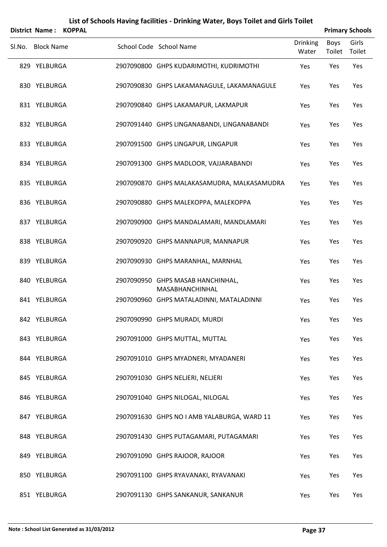| <b>District Name:</b> | <b>KOPPAL</b> |                                                      |                          |                | <b>Primary Schools</b> |
|-----------------------|---------------|------------------------------------------------------|--------------------------|----------------|------------------------|
| Sl.No. Block Name     |               | School Code School Name                              | <b>Drinking</b><br>Water | Boys<br>Toilet | Girls<br>Toilet        |
| 829 YELBURGA          |               | 2907090800 GHPS KUDARIMOTHI, KUDRIMOTHI              | Yes                      | Yes            | Yes                    |
| 830 YELBURGA          |               | 2907090830 GHPS LAKAMANAGULE, LAKAMANAGULE           | Yes                      | Yes            | Yes                    |
| 831 YELBURGA          |               | 2907090840 GHPS LAKAMAPUR, LAKMAPUR                  | Yes                      | Yes            | Yes                    |
| 832 YELBURGA          |               | 2907091440 GHPS LINGANABANDI, LINGANABANDI           | Yes                      | Yes            | Yes                    |
| 833 YELBURGA          |               | 2907091500 GHPS LINGAPUR, LINGAPUR                   | Yes                      | Yes            | Yes                    |
| 834 YELBURGA          |               | 2907091300 GHPS MADLOOR, VAJJARABANDI                | Yes                      | Yes            | Yes                    |
| 835 YELBURGA          |               | 2907090870 GHPS MALAKASAMUDRA, MALKASAMUDRA          | Yes                      | Yes            | Yes                    |
| 836 YELBURGA          |               | 2907090880 GHPS MALEKOPPA, MALEKOPPA                 | Yes                      | Yes            | Yes                    |
| 837 YELBURGA          |               | 2907090900 GHPS MANDALAMARI, MANDLAMARI              | Yes                      | Yes            | Yes                    |
| 838 YELBURGA          |               | 2907090920 GHPS MANNAPUR, MANNAPUR                   | Yes                      | Yes            | Yes                    |
| 839 YELBURGA          |               | 2907090930 GHPS MARANHAL, MARNHAL                    | Yes                      | Yes            | Yes                    |
| 840 YELBURGA          |               | 2907090950 GHPS MASAB HANCHINHAL,<br>MASABHANCHINHAL | Yes                      | Yes            | Yes                    |
| 841 YELBURGA          |               | 2907090960 GHPS MATALADINNI, MATALADINNI             | Yes                      | Yes            | Yes                    |
| 842 YELBURGA          |               | 2907090990 GHPS MURADI, MURDI                        | Yes                      | Yes            | Yes                    |
| 843 YELBURGA          |               | 2907091000 GHPS MUTTAL, MUTTAL                       | Yes                      | Yes            | Yes                    |
| 844 YELBURGA          |               | 2907091010 GHPS MYADNERI, MYADANERI                  | Yes                      | Yes            | Yes                    |
| 845 YELBURGA          |               | 2907091030 GHPS NELJERI, NELJERI                     | Yes                      | Yes            | Yes                    |
| 846 YELBURGA          |               | 2907091040 GHPS NILOGAL, NILOGAL                     | Yes                      | Yes            | Yes                    |
| 847 YELBURGA          |               | 2907091630 GHPS NO I AMB YALABURGA, WARD 11          | Yes                      | Yes            | Yes                    |
| 848 YELBURGA          |               | 2907091430 GHPS PUTAGAMARI, PUTAGAMARI               | Yes                      | Yes            | Yes                    |
| 849 YELBURGA          |               | 2907091090 GHPS RAJOOR, RAJOOR                       | Yes                      | Yes            | Yes                    |
| 850 YELBURGA          |               | 2907091100 GHPS RYAVANAKI, RYAVANAKI                 | Yes                      | Yes            | Yes                    |
| 851 YELBURGA          |               | 2907091130 GHPS SANKANUR, SANKANUR                   | Yes                      | Yes            | Yes                    |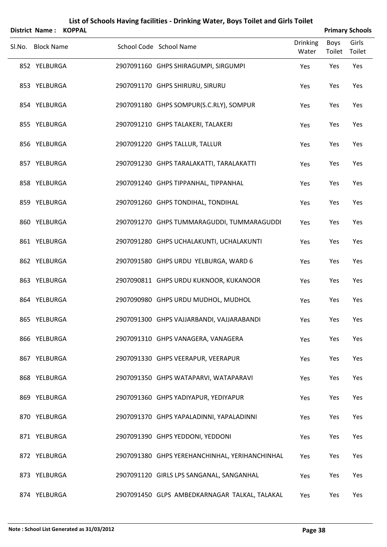|        | District Name: KOPPAL |  |                                                |                          |                | <b>Primary Schools</b> |
|--------|-----------------------|--|------------------------------------------------|--------------------------|----------------|------------------------|
| Sl.No. | <b>Block Name</b>     |  | School Code School Name                        | <b>Drinking</b><br>Water | Boys<br>Toilet | Girls<br>Toilet        |
|        | 852 YELBURGA          |  | 2907091160 GHPS SHIRAGUMPI, SIRGUMPI           | Yes                      | Yes            | Yes                    |
|        | 853 YELBURGA          |  | 2907091170 GHPS SHIRURU, SIRURU                | Yes                      | Yes            | Yes                    |
|        | 854 YELBURGA          |  | 2907091180 GHPS SOMPUR(S.C.RLY), SOMPUR        | Yes                      | Yes            | Yes                    |
|        | 855 YELBURGA          |  | 2907091210 GHPS TALAKERI, TALAKERI             | Yes                      | Yes            | Yes                    |
|        | 856 YELBURGA          |  | 2907091220 GHPS TALLUR, TALLUR                 | Yes                      | Yes            | Yes                    |
|        | 857 YELBURGA          |  | 2907091230 GHPS TARALAKATTI, TARALAKATTI       | Yes                      | Yes            | Yes                    |
|        | 858 YELBURGA          |  | 2907091240 GHPS TIPPANHAL, TIPPANHAL           | Yes                      | Yes            | Yes                    |
|        | 859 YELBURGA          |  | 2907091260 GHPS TONDIHAL, TONDIHAL             | Yes                      | Yes            | Yes                    |
|        | 860 YELBURGA          |  | 2907091270 GHPS TUMMARAGUDDI, TUMMARAGUDDI     | Yes                      | Yes            | Yes                    |
|        | 861 YELBURGA          |  | 2907091280 GHPS UCHALAKUNTI, UCHALAKUNTI       | Yes                      | Yes            | Yes                    |
|        | 862 YELBURGA          |  | 2907091580 GHPS URDU YELBURGA, WARD 6          | Yes                      | Yes            | Yes                    |
|        | 863 YELBURGA          |  | 2907090811 GHPS URDU KUKNOOR, KUKANOOR         | Yes                      | Yes            | Yes                    |
|        | 864 YELBURGA          |  | 2907090980 GHPS URDU MUDHOL, MUDHOL            | Yes                      | Yes            | Yes                    |
|        | 865 YELBURGA          |  | 2907091300 GHPS VAJJARBANDI, VAJJARABANDI      | Yes                      | Yes            | Yes                    |
|        | 866 YELBURGA          |  | 2907091310 GHPS VANAGERA, VANAGERA             | Yes                      | Yes            | Yes                    |
|        | 867 YELBURGA          |  | 2907091330 GHPS VEERAPUR, VEERAPUR             | Yes                      | Yes            | Yes                    |
|        | 868 YELBURGA          |  | 2907091350 GHPS WATAPARVI, WATAPARAVI          | Yes                      | Yes            | Yes                    |
|        | 869 YELBURGA          |  | 2907091360 GHPS YADIYAPUR, YEDIYAPUR           | Yes                      | Yes            | Yes                    |
|        | 870 YELBURGA          |  | 2907091370 GHPS YAPALADINNI, YAPALADINNI       | Yes                      | Yes            | Yes                    |
|        | 871 YELBURGA          |  | 2907091390 GHPS YEDDONI, YEDDONI               | Yes                      | Yes            | Yes                    |
|        | 872 YELBURGA          |  | 2907091380 GHPS YEREHANCHINHAL, YERIHANCHINHAL | Yes                      | Yes            | Yes                    |
|        | 873 YELBURGA          |  | 2907091120 GIRLS LPS SANGANAL, SANGANHAL       | Yes                      | Yes            | Yes                    |
|        | 874 YELBURGA          |  | 2907091450 GLPS AMBEDKARNAGAR TALKAL, TALAKAL  | Yes                      | Yes            | Yes                    |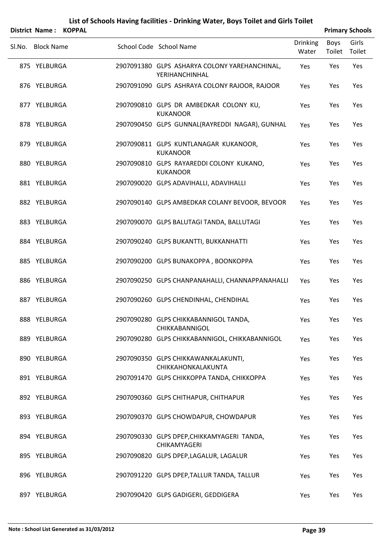| District Name: KOPPAL |  |                                                                 |                          |                | <b>Primary Schools</b> |
|-----------------------|--|-----------------------------------------------------------------|--------------------------|----------------|------------------------|
| Sl.No. Block Name     |  | School Code School Name                                         | <b>Drinking</b><br>Water | Boys<br>Toilet | Girls<br>Toilet        |
| 875 YELBURGA          |  | 2907091380 GLPS ASHARYA COLONY YAREHANCHINAL,<br>YERIHANCHINHAL | Yes                      | Yes            | Yes                    |
| 876 YELBURGA          |  | 2907091090 GLPS ASHRAYA COLONY RAJOOR, RAJOOR                   | Yes                      | Yes            | Yes                    |
| 877 YELBURGA          |  | 2907090810 GLPS DR AMBEDKAR COLONY KU,<br><b>KUKANOOR</b>       | Yes                      | Yes            | Yes                    |
| 878 YELBURGA          |  | 2907090450 GLPS GUNNAL(RAYREDDI NAGAR), GUNHAL                  | Yes                      | Yes            | Yes                    |
| 879 YELBURGA          |  | 2907090811 GLPS KUNTLANAGAR KUKANOOR,<br><b>KUKANOOR</b>        | Yes                      | Yes            | Yes                    |
| 880 YELBURGA          |  | 2907090810 GLPS RAYAREDDI COLONY KUKANO,<br><b>KUKANOOR</b>     | Yes                      | Yes            | Yes                    |
| 881 YELBURGA          |  | 2907090020 GLPS ADAVIHALLI, ADAVIHALLI                          | Yes                      | Yes            | Yes                    |
| 882 YELBURGA          |  | 2907090140 GLPS AMBEDKAR COLANY BEVOOR, BEVOOR                  | Yes                      | Yes            | Yes                    |
| 883 YELBURGA          |  | 2907090070 GLPS BALUTAGI TANDA, BALLUTAGI                       | Yes                      | Yes            | Yes                    |
| 884 YELBURGA          |  | 2907090240 GLPS BUKANTTI, BUKKANHATTI                           | Yes                      | Yes            | Yes                    |
| 885 YELBURGA          |  | 2907090200 GLPS BUNAKOPPA, BOONKOPPA                            | Yes                      | Yes            | Yes                    |
| 886 YELBURGA          |  | 2907090250 GLPS CHANPANAHALLI, CHANNAPPANAHALLI                 | Yes                      | Yes            | Yes                    |
| 887 YELBURGA          |  | 2907090260 GLPS CHENDINHAL, CHENDIHAL                           | Yes                      | Yes            | Yes                    |
| 888 YELBURGA          |  | 2907090280 GLPS CHIKKABANNIGOL TANDA,<br><b>CHIKKABANNIGOL</b>  | Yes                      | Yes            | Yes                    |
| 889 YELBURGA          |  | 2907090280 GLPS CHIKKABANNIGOL, CHIKKABANNIGOL                  | Yes                      | Yes            | Yes                    |
| 890 YELBURGA          |  | 2907090350 GLPS CHIKKAWANKALAKUNTI,<br>CHIKKAHONKALAKUNTA       | Yes                      | Yes            | Yes                    |
| 891 YELBURGA          |  | 2907091470 GLPS CHIKKOPPA TANDA, CHIKKOPPA                      | Yes                      | Yes            | Yes                    |
| 892 YELBURGA          |  | 2907090360 GLPS CHITHAPUR, CHITHAPUR                            | Yes                      | Yes            | Yes                    |
| 893 YELBURGA          |  | 2907090370 GLPS CHOWDAPUR, CHOWDAPUR                            | Yes                      | Yes            | Yes                    |
| 894 YELBURGA          |  | 2907090330 GLPS DPEP, CHIKKAMYAGERI TANDA,<br>CHIKAMYAGERI      | Yes                      | Yes            | Yes                    |
| 895 YELBURGA          |  | 2907090820 GLPS DPEP, LAGALUR, LAGALUR                          | Yes                      | Yes            | Yes                    |
| 896 YELBURGA          |  | 2907091220 GLPS DPEP, TALLUR TANDA, TALLUR                      | Yes                      | Yes            | Yes                    |
| 897 YELBURGA          |  | 2907090420 GLPS GADIGERI, GEDDIGERA                             | Yes                      | Yes            | Yes                    |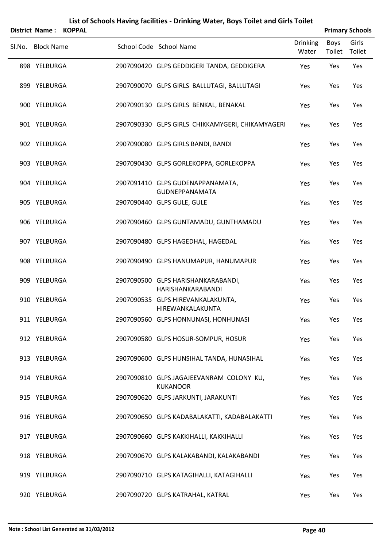|        | District Name:    | <b>KOPPAL</b> |                                                             |                          |                | <b>Primary Schools</b> |
|--------|-------------------|---------------|-------------------------------------------------------------|--------------------------|----------------|------------------------|
| SI.No. | <b>Block Name</b> |               | School Code School Name                                     | <b>Drinking</b><br>Water | Boys<br>Toilet | Girls<br>Toilet        |
|        | 898 YELBURGA      |               | 2907090420 GLPS GEDDIGERI TANDA, GEDDIGERA                  | Yes                      | Yes            | Yes                    |
|        | 899 YELBURGA      |               | 2907090070 GLPS GIRLS BALLUTAGI, BALLUTAGI                  | Yes                      | Yes            | Yes                    |
|        | 900 YELBURGA      |               | 2907090130 GLPS GIRLS BENKAL, BENAKAL                       | Yes                      | Yes            | Yes                    |
|        | 901 YELBURGA      |               | 2907090330 GLPS GIRLS CHIKKAMYGERI, CHIKAMYAGERI            | Yes                      | Yes            | Yes                    |
|        | 902 YELBURGA      |               | 2907090080 GLPS GIRLS BANDI, BANDI                          | Yes                      | Yes            | Yes                    |
|        | 903 YELBURGA      |               | 2907090430 GLPS GORLEKOPPA, GORLEKOPPA                      | Yes                      | Yes            | Yes                    |
|        | 904 YELBURGA      |               | 2907091410 GLPS GUDENAPPANAMATA,<br><b>GUDNEPPANAMATA</b>   | Yes                      | Yes            | Yes                    |
|        | 905 YELBURGA      |               | 2907090440 GLPS GULE, GULE                                  | Yes                      | Yes            | Yes                    |
|        | 906 YELBURGA      |               | 2907090460 GLPS GUNTAMADU, GUNTHAMADU                       | Yes                      | Yes            | Yes                    |
|        | 907 YELBURGA      |               | 2907090480 GLPS HAGEDHAL, HAGEDAL                           | Yes                      | Yes            | Yes                    |
|        | 908 YELBURGA      |               | 2907090490 GLPS HANUMAPUR, HANUMAPUR                        | Yes                      | Yes            | Yes                    |
|        | 909 YELBURGA      |               | 2907090500 GLPS HARISHANKARABANDI,<br>HARISHANKARABANDI     | Yes                      | Yes            | Yes                    |
|        | 910 YELBURGA      |               | 2907090535 GLPS HIREVANKALAKUNTA,<br>HIREWANKALAKUNTA       | Yes                      | Yes            | Yes                    |
|        | 911 YELBURGA      |               | 2907090560 GLPS HONNUNASI, HONHUNASI                        | Yes                      | Yes            | Yes                    |
|        | 912 YELBURGA      |               | 2907090580 GLPS HOSUR-SOMPUR, HOSUR                         | Yes                      | Yes            | Yes                    |
|        | 913 YELBURGA      |               | 2907090600 GLPS HUNSIHAL TANDA, HUNASIHAL                   | Yes                      | Yes            | Yes                    |
|        | 914 YELBURGA      |               | 2907090810 GLPS JAGAJEEVANRAM COLONY KU,<br><b>KUKANOOR</b> | Yes                      | Yes            | Yes                    |
|        | 915 YELBURGA      |               | 2907090620 GLPS JARKUNTI, JARAKUNTI                         | Yes                      | Yes            | Yes                    |
|        | 916 YELBURGA      |               | 2907090650 GLPS KADABALAKATTI, KADABALAKATTI                | Yes                      | Yes            | Yes                    |
|        | 917 YELBURGA      |               | 2907090660 GLPS KAKKIHALLI, KAKKIHALLI                      | Yes                      | Yes            | Yes                    |
|        | 918 YELBURGA      |               | 2907090670 GLPS KALAKABANDI, KALAKABANDI                    | Yes                      | Yes            | Yes                    |
|        | 919 YELBURGA      |               | 2907090710 GLPS KATAGIHALLI, KATAGIHALLI                    | Yes                      | Yes            | Yes                    |
|        | 920 YELBURGA      |               | 2907090720 GLPS KATRAHAL, KATRAL                            | Yes                      | Yes            | Yes                    |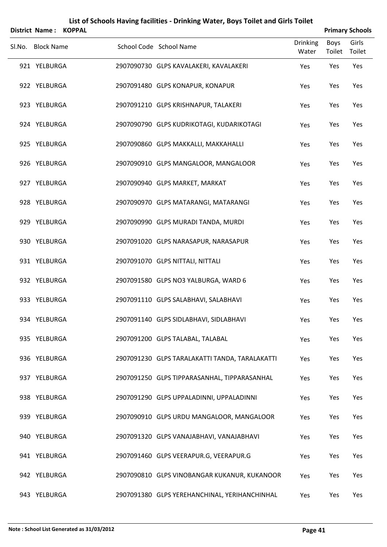|        | District Name: KOPPAL |  |                                                |                          |                | <b>Primary Schools</b> |
|--------|-----------------------|--|------------------------------------------------|--------------------------|----------------|------------------------|
| Sl.No. | <b>Block Name</b>     |  | School Code School Name                        | <b>Drinking</b><br>Water | Boys<br>Toilet | Girls<br>Toilet        |
|        | 921 YELBURGA          |  | 2907090730 GLPS KAVALAKERI, KAVALAKERI         | Yes                      | Yes            | Yes                    |
|        | 922 YELBURGA          |  | 2907091480 GLPS KONAPUR, KONAPUR               | Yes                      | Yes            | Yes                    |
|        | 923 YELBURGA          |  | 2907091210 GLPS KRISHNAPUR, TALAKERI           | Yes                      | Yes            | Yes                    |
|        | 924 YELBURGA          |  | 2907090790 GLPS KUDRIKOTAGI, KUDARIKOTAGI      | Yes                      | Yes            | Yes                    |
|        | 925 YELBURGA          |  | 2907090860 GLPS MAKKALLI, MAKKAHALLI           | Yes                      | Yes            | Yes                    |
|        | 926 YELBURGA          |  | 2907090910 GLPS MANGALOOR, MANGALOOR           | Yes                      | Yes            | Yes                    |
|        | 927 YELBURGA          |  | 2907090940 GLPS MARKET, MARKAT                 | Yes                      | Yes            | Yes                    |
|        | 928 YELBURGA          |  | 2907090970 GLPS MATARANGI, MATARANGI           | Yes                      | Yes            | Yes                    |
|        | 929 YELBURGA          |  | 2907090990 GLPS MURADI TANDA, MURDI            | Yes                      | Yes            | Yes                    |
|        | 930 YELBURGA          |  | 2907091020 GLPS NARASAPUR, NARASAPUR           | Yes                      | Yes            | Yes                    |
|        | 931 YELBURGA          |  | 2907091070 GLPS NITTALI, NITTALI               | Yes                      | Yes            | Yes                    |
|        | 932 YELBURGA          |  | 2907091580 GLPS NO3 YALBURGA, WARD 6           | Yes                      | Yes            | Yes                    |
|        | 933 YELBURGA          |  | 2907091110 GLPS SALABHAVI, SALABHAVI           | Yes                      | Yes            | Yes                    |
|        | 934 YELBURGA          |  | 2907091140 GLPS SIDLABHAVI, SIDLABHAVI         | Yes                      | Yes            | Yes                    |
|        | 935 YELBURGA          |  | 2907091200 GLPS TALABAL, TALABAL               | Yes                      | Yes            | Yes                    |
|        | 936 YELBURGA          |  | 2907091230 GLPS TARALAKATTI TANDA, TARALAKATTI | Yes                      | Yes            | Yes                    |
|        | 937 YELBURGA          |  | 2907091250 GLPS TIPPARASANHAL, TIPPARASANHAL   | Yes                      | Yes            | Yes                    |
|        | 938 YELBURGA          |  | 2907091290 GLPS UPPALADINNI, UPPALADINNI       | Yes                      | Yes            | Yes                    |
|        | 939 YELBURGA          |  | 2907090910 GLPS URDU MANGALOOR, MANGALOOR      | Yes                      | Yes            | Yes                    |
|        | 940 YELBURGA          |  | 2907091320 GLPS VANAJABHAVI, VANAJABHAVI       | Yes                      | Yes            | Yes                    |
|        | 941 YELBURGA          |  | 2907091460 GLPS VEERAPUR.G, VEERAPUR.G         | Yes                      | Yes            | Yes                    |
|        | 942 YELBURGA          |  | 2907090810 GLPS VINOBANGAR KUKANUR, KUKANOOR   | Yes                      | Yes            | Yes                    |
|        | 943 YELBURGA          |  | 2907091380 GLPS YEREHANCHINAL, YERIHANCHINHAL  | Yes                      | Yes            | Yes                    |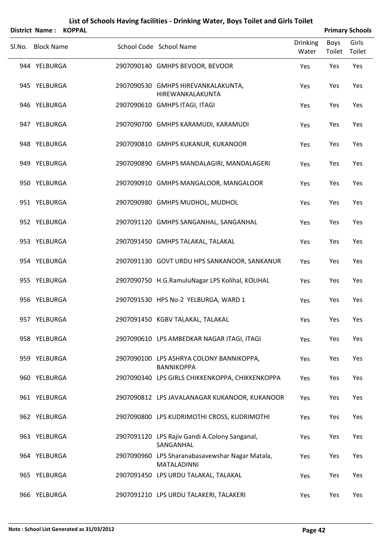|        | <b>District Name:</b> | <b>KOPPAL</b> |                                                                       |                          |                | <b>Primary Schools</b> |
|--------|-----------------------|---------------|-----------------------------------------------------------------------|--------------------------|----------------|------------------------|
| SI.No. | <b>Block Name</b>     |               | School Code School Name                                               | <b>Drinking</b><br>Water | Boys<br>Toilet | Girls<br>Toilet        |
|        | 944 YELBURGA          |               | 2907090140 GMHPS BEVOOR, BEVOOR                                       | Yes                      | Yes            | Yes                    |
|        | 945 YELBURGA          |               | 2907090530 GMHPS HIREVANKALAKUNTA,<br>HIREWANKALAKUNTA                | Yes                      | Yes            | Yes                    |
|        | 946 YELBURGA          |               | 2907090610 GMHPS ITAGI, ITAGI                                         | Yes                      | Yes            | Yes                    |
|        | 947 YELBURGA          |               | 2907090700 GMHPS KARAMUDI, KARAMUDI                                   | Yes                      | Yes            | Yes                    |
|        | 948 YELBURGA          |               | 2907090810 GMHPS KUKANUR, KUKANOOR                                    | Yes                      | Yes            | Yes                    |
|        | 949 YELBURGA          |               | 2907090890 GMHPS MANDALAGIRI, MANDALAGERI                             | Yes                      | Yes            | Yes                    |
|        | 950 YELBURGA          |               | 2907090910 GMHPS MANGALOOR, MANGALOOR                                 | Yes                      | Yes            | Yes                    |
|        | 951 YELBURGA          |               | 2907090980 GMHPS MUDHOL, MUDHOL                                       | Yes                      | Yes            | Yes                    |
|        | 952 YELBURGA          |               | 2907091120 GMHPS SANGANHAL, SANGANHAL                                 | Yes                      | Yes            | Yes                    |
|        | 953 YELBURGA          |               | 2907091450 GMHPS TALAKAL, TALAKAL                                     | Yes                      | Yes            | Yes                    |
|        | 954 YELBURGA          |               | 2907091130 GOVT URDU HPS SANKANOOR, SANKANUR                          | Yes                      | Yes            | Yes                    |
|        | 955 YELBURGA          |               | 2907090750 H.G.RamuluNagar LPS Kolihal, KOLIHAL                       | Yes                      | Yes            | Yes                    |
|        | 956 YELBURGA          |               | 2907091530 HPS No-2 YELBURGA, WARD 1                                  | Yes                      | Yes            | Yes                    |
|        | 957 YELBURGA          |               | 2907091450 KGBV TALAKAL, TALAKAL                                      | Yes                      | Yes            | Yes                    |
|        | 958 YELBURGA          |               | 2907090610 LPS AMBEDKAR NAGAR ITAGI, ITAGI                            | Yes                      | Yes            | Yes                    |
|        | 959 YELBURGA          |               | 2907090100 LPS ASHRYA COLONY BANNIKOPPA,<br><b>BANNIKOPPA</b>         | Yes                      | Yes            | Yes                    |
|        | 960 YELBURGA          |               | 2907090340 LPS GIRLS CHIKKENKOPPA, CHIKKENKOPPA                       | Yes                      | Yes            | Yes                    |
|        | 961 YELBURGA          |               | 2907090812 LPS JAVALANAGAR KUKANOOR, KUKANOOR                         | Yes                      | Yes            | Yes                    |
|        | 962 YELBURGA          |               | 2907090800 LPS KUDRIMOTHI CROSS, KUDRIMOTHI                           | Yes                      | Yes            | Yes                    |
|        | 963 YELBURGA          |               | 2907091120 LPS Rajiv Gandi A.Colony Sanganal,<br>SANGANHAL            | Yes                      | Yes            | Yes                    |
|        | 964 YELBURGA          |               | 2907090960 LPS Sharanabasavewshar Nagar Matala,<br><b>MATALADINNI</b> | Yes                      | Yes            | Yes                    |
|        | 965 YELBURGA          |               | 2907091450 LPS URDU TALAKAL, TALAKAL                                  | Yes                      | Yes            | Yes                    |
|        | 966 YELBURGA          |               | 2907091210 LPS URDU TALAKERI, TALAKERI                                | Yes                      | Yes            | Yes                    |